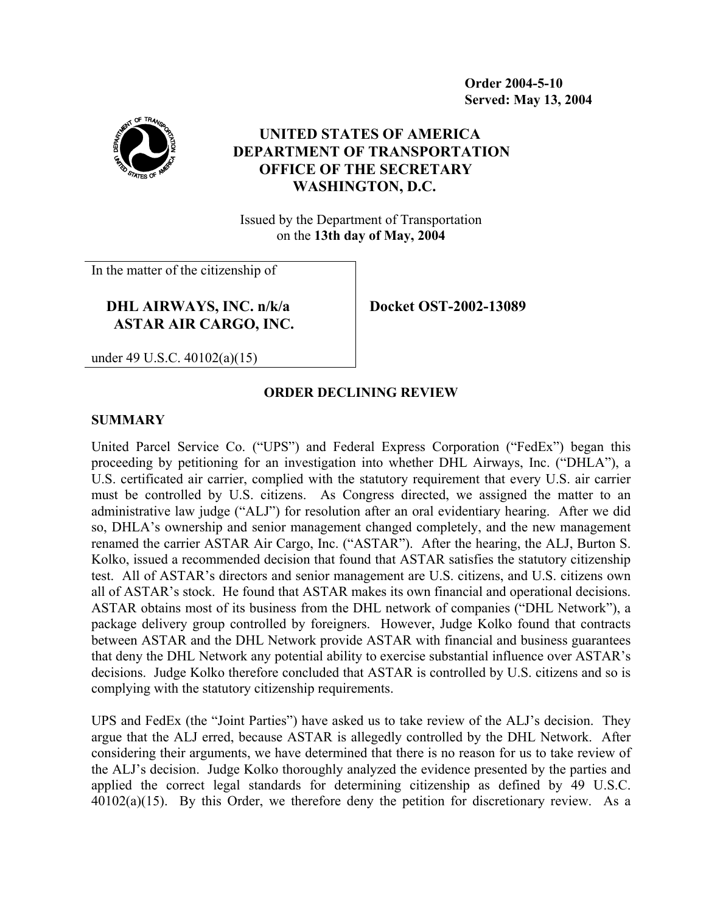**Order 2004-5-10 Served: May 13, 2004** 



# **UNITED STATES OF AMERICA DEPARTMENT OF TRANSPORTATION OFFICE OF THE SECRETARY WASHINGTON, D.C.**

Issued by the Department of Transportation on the **13th day of May, 2004**

In the matter of the citizenship of

## **DHL AIRWAYS, INC. n/k/a ASTAR AIR CARGO, INC.**

**Docket OST-2002-13089** 

under 49 U.S.C. 40102(a)(15)

## **ORDER DECLINING REVIEW**

#### **SUMMARY**

United Parcel Service Co. ("UPS") and Federal Express Corporation ("FedEx") began this proceeding by petitioning for an investigation into whether DHL Airways, Inc. ("DHLA"), a U.S. certificated air carrier, complied with the statutory requirement that every U.S. air carrier must be controlled by U.S. citizens. As Congress directed, we assigned the matter to an administrative law judge ("ALJ") for resolution after an oral evidentiary hearing. After we did so, DHLA's ownership and senior management changed completely, and the new management renamed the carrier ASTAR Air Cargo, Inc. ("ASTAR"). After the hearing, the ALJ, Burton S. Kolko, issued a recommended decision that found that ASTAR satisfies the statutory citizenship test. All of ASTAR's directors and senior management are U.S. citizens, and U.S. citizens own all of ASTAR's stock. He found that ASTAR makes its own financial and operational decisions. ASTAR obtains most of its business from the DHL network of companies ("DHL Network"), a package delivery group controlled by foreigners. However, Judge Kolko found that contracts between ASTAR and the DHL Network provide ASTAR with financial and business guarantees that deny the DHL Network any potential ability to exercise substantial influence over ASTAR's decisions. Judge Kolko therefore concluded that ASTAR is controlled by U.S. citizens and so is complying with the statutory citizenship requirements.

UPS and FedEx (the "Joint Parties") have asked us to take review of the ALJ's decision. They argue that the ALJ erred, because ASTAR is allegedly controlled by the DHL Network. After considering their arguments, we have determined that there is no reason for us to take review of the ALJ's decision. Judge Kolko thoroughly analyzed the evidence presented by the parties and applied the correct legal standards for determining citizenship as defined by 49 U.S.C.  $40102(a)(15)$ . By this Order, we therefore deny the petition for discretionary review. As a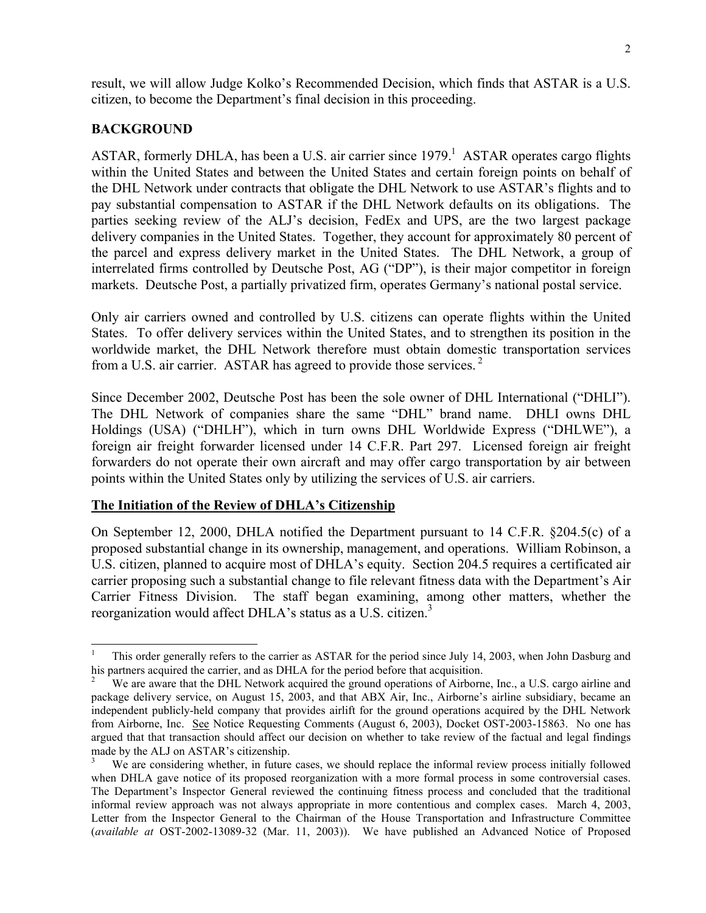result, we will allow Judge Kolko's Recommended Decision, which finds that ASTAR is a U.S. citizen, to become the Department's final decision in this proceeding.

#### **BACKGROUND**

 $\overline{a}$ 

ASTAR, formerly DHLA, has been a U.S. air carrier since  $1979$ .<sup>1</sup> ASTAR operates cargo flights within the United States and between the United States and certain foreign points on behalf of the DHL Network under contracts that obligate the DHL Network to use ASTAR's flights and to pay substantial compensation to ASTAR if the DHL Network defaults on its obligations. The parties seeking review of the ALJ's decision, FedEx and UPS, are the two largest package delivery companies in the United States. Together, they account for approximately 80 percent of the parcel and express delivery market in the United States. The DHL Network, a group of interrelated firms controlled by Deutsche Post, AG ("DP"), is their major competitor in foreign markets. Deutsche Post, a partially privatized firm, operates Germany's national postal service.

Only air carriers owned and controlled by U.S. citizens can operate flights within the United States. To offer delivery services within the United States, and to strengthen its position in the worldwide market, the DHL Network therefore must obtain domestic transportation services from a U.S. air carrier. ASTAR has agreed to provide those services.  $2^2$ 

Since December 2002, Deutsche Post has been the sole owner of DHL International ("DHLI"). The DHL Network of companies share the same "DHL" brand name. DHLI owns DHL Holdings (USA) ("DHLH"), which in turn owns DHL Worldwide Express ("DHLWE"), a foreign air freight forwarder licensed under 14 C.F.R. Part 297. Licensed foreign air freight forwarders do not operate their own aircraft and may offer cargo transportation by air between points within the United States only by utilizing the services of U.S. air carriers.

#### **The Initiation of the Review of DHLA's Citizenship**

On September 12, 2000, DHLA notified the Department pursuant to 14 C.F.R. §204.5(c) of a proposed substantial change in its ownership, management, and operations. William Robinson, a U.S. citizen, planned to acquire most of DHLA's equity. Section 204.5 requires a certificated air carrier proposing such a substantial change to file relevant fitness data with the Department's Air Carrier Fitness Division. The staff began examining, among other matters, whether the reorganization would affect DHLA's status as a U.S. citizen.<sup>3</sup>

<sup>1</sup> This order generally refers to the carrier as ASTAR for the period since July 14, 2003, when John Dasburg and his partners acquired the carrier, and as DHLA for the period before that acquisition.

We are aware that the DHL Network acquired the ground operations of Airborne, Inc., a U.S. cargo airline and package delivery service, on August 15, 2003, and that ABX Air, Inc., Airborne's airline subsidiary, became an independent publicly-held company that provides airlift for the ground operations acquired by the DHL Network from Airborne, Inc. See Notice Requesting Comments (August 6, 2003), Docket OST-2003-15863. No one has argued that that transaction should affect our decision on whether to take review of the factual and legal findings made by the ALJ on ASTAR's citizenship.

<sup>3</sup> We are considering whether, in future cases, we should replace the informal review process initially followed when DHLA gave notice of its proposed reorganization with a more formal process in some controversial cases. The Department's Inspector General reviewed the continuing fitness process and concluded that the traditional informal review approach was not always appropriate in more contentious and complex cases. March 4, 2003, Letter from the Inspector General to the Chairman of the House Transportation and Infrastructure Committee (*available at* OST-2002-13089-32 (Mar. 11, 2003)). We have published an Advanced Notice of Proposed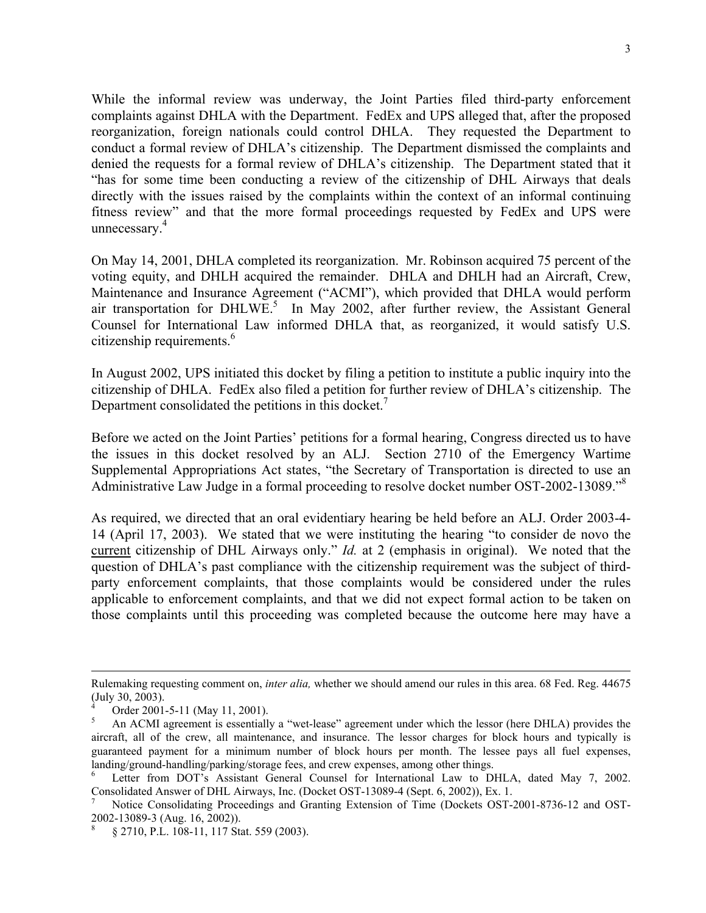While the informal review was underway, the Joint Parties filed third-party enforcement complaints against DHLA with the Department. FedEx and UPS alleged that, after the proposed reorganization, foreign nationals could control DHLA. They requested the Department to conduct a formal review of DHLA's citizenship. The Department dismissed the complaints and denied the requests for a formal review of DHLA's citizenship. The Department stated that it "has for some time been conducting a review of the citizenship of DHL Airways that deals directly with the issues raised by the complaints within the context of an informal continuing fitness review" and that the more formal proceedings requested by FedEx and UPS were unnecessary.<sup>4</sup>

On May 14, 2001, DHLA completed its reorganization. Mr. Robinson acquired 75 percent of the voting equity, and DHLH acquired the remainder. DHLA and DHLH had an Aircraft, Crew, Maintenance and Insurance Agreement ("ACMI"), which provided that DHLA would perform air transportation for DHLWE.<sup>5</sup> In May 2002, after further review, the Assistant General Counsel for International Law informed DHLA that, as reorganized, it would satisfy U.S. citizenship requirements.<sup>6</sup>

In August 2002, UPS initiated this docket by filing a petition to institute a public inquiry into the citizenship of DHLA. FedEx also filed a petition for further review of DHLA's citizenship. The Department consolidated the petitions in this docket.<sup>7</sup>

Before we acted on the Joint Parties' petitions for a formal hearing, Congress directed us to have the issues in this docket resolved by an ALJ. Section 2710 of the Emergency Wartime Supplemental Appropriations Act states, "the Secretary of Transportation is directed to use an Administrative Law Judge in a formal proceeding to resolve docket number OST-2002-13089."8

As required, we directed that an oral evidentiary hearing be held before an ALJ. Order 2003-4- 14 (April 17, 2003). We stated that we were instituting the hearing "to consider de novo the current citizenship of DHL Airways only." *Id.* at 2 (emphasis in original). We noted that the question of DHLA's past compliance with the citizenship requirement was the subject of thirdparty enforcement complaints, that those complaints would be considered under the rules applicable to enforcement complaints, and that we did not expect formal action to be taken on those complaints until this proceeding was completed because the outcome here may have a

Rulemaking requesting comment on, *inter alia,* whether we should amend our rules in this area. 68 Fed. Reg. 44675 (July 30, 2003).

<sup>4</sup> Order 2001-5-11 (May 11, 2001).

<sup>5</sup> An ACMI agreement is essentially a "wet-lease" agreement under which the lessor (here DHLA) provides the aircraft, all of the crew, all maintenance, and insurance. The lessor charges for block hours and typically is guaranteed payment for a minimum number of block hours per month. The lessee pays all fuel expenses, landing/ground-handling/parking/storage fees, and crew expenses, among other things.

Letter from DOT's Assistant General Counsel for International Law to DHLA, dated May 7, 2002. Consolidated Answer of DHL Airways, Inc. (Docket OST-13089-4 (Sept. 6, 2002)), Ex. 1.

<sup>7</sup> Notice Consolidating Proceedings and Granting Extension of Time (Dockets OST-2001-8736-12 and OST-2002-13089-3 (Aug. 16, 2002)).

<sup>8</sup> § 2710, P.L. 108-11, 117 Stat. 559 (2003).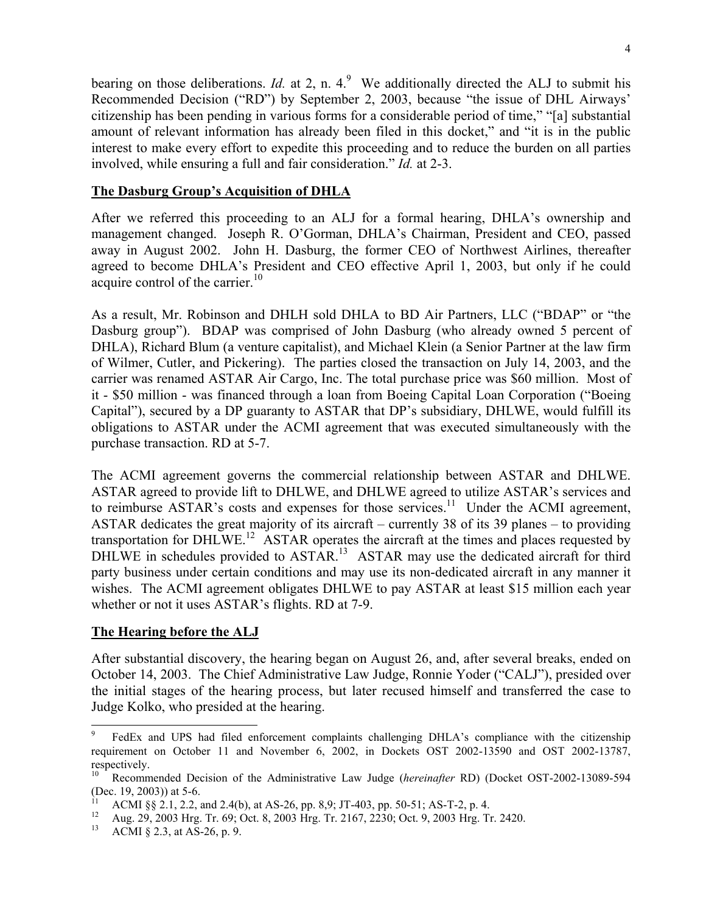bearing on those deliberations. *Id.* at 2, n. 4.<sup>9</sup> We additionally directed the ALJ to submit his Recommended Decision ("RD") by September 2, 2003, because "the issue of DHL Airways' citizenship has been pending in various forms for a considerable period of time," "[a] substantial amount of relevant information has already been filed in this docket," and "it is in the public interest to make every effort to expedite this proceeding and to reduce the burden on all parties involved, while ensuring a full and fair consideration." *Id.* at 2-3.

### **The Dasburg Group's Acquisition of DHLA**

After we referred this proceeding to an ALJ for a formal hearing, DHLA's ownership and management changed. Joseph R. O'Gorman, DHLA's Chairman, President and CEO, passed away in August 2002. John H. Dasburg, the former CEO of Northwest Airlines, thereafter agreed to become DHLA's President and CEO effective April 1, 2003, but only if he could acquire control of the carrier.<sup>10</sup>

As a result, Mr. Robinson and DHLH sold DHLA to BD Air Partners, LLC ("BDAP" or "the Dasburg group"). BDAP was comprised of John Dasburg (who already owned 5 percent of DHLA), Richard Blum (a venture capitalist), and Michael Klein (a Senior Partner at the law firm of Wilmer, Cutler, and Pickering). The parties closed the transaction on July 14, 2003, and the carrier was renamed ASTAR Air Cargo, Inc. The total purchase price was \$60 million. Most of it - \$50 million - was financed through a loan from Boeing Capital Loan Corporation ("Boeing Capital"), secured by a DP guaranty to ASTAR that DP's subsidiary, DHLWE, would fulfill its obligations to ASTAR under the ACMI agreement that was executed simultaneously with the purchase transaction. RD at 5-7.

The ACMI agreement governs the commercial relationship between ASTAR and DHLWE. ASTAR agreed to provide lift to DHLWE, and DHLWE agreed to utilize ASTAR's services and to reimburse  $ASTAR's costs$  and expenses for those services.<sup>11</sup> Under the ACMI agreement, ASTAR dedicates the great majority of its aircraft – currently 38 of its 39 planes – to providing transportation for DHLWE.<sup>12</sup> ASTAR operates the aircraft at the times and places requested by DHLWE in schedules provided to ASTAR.<sup>13</sup> ASTAR may use the dedicated aircraft for third party business under certain conditions and may use its non-dedicated aircraft in any manner it wishes. The ACMI agreement obligates DHLWE to pay ASTAR at least \$15 million each year whether or not it uses ASTAR's flights. RD at 7-9.

#### **The Hearing before the ALJ**

After substantial discovery, the hearing began on August 26, and, after several breaks, ended on October 14, 2003. The Chief Administrative Law Judge, Ronnie Yoder ("CALJ"), presided over the initial stages of the hearing process, but later recused himself and transferred the case to Judge Kolko, who presided at the hearing.

<sup>9</sup> FedEx and UPS had filed enforcement complaints challenging DHLA's compliance with the citizenship requirement on October 11 and November 6, 2002, in Dockets OST 2002-13590 and OST 2002-13787, respectively.

<sup>10</sup> Recommended Decision of the Administrative Law Judge (*hereinafter* RD) (Docket OST-2002-13089-594 (Dec. 19, 2003)) at 5-6.

<sup>&</sup>lt;sup>11</sup> ACMI §§ 2.1, 2.2, and 2.4(b), at AS-26, pp. 8,9; JT-403, pp. 50-51; AS-T-2, p. 4.<br><sup>12</sup> Aug 20, 2002 Use Tr. 60; Ost 8, 2002 Use Tr. 2167, 2220; Ost 9, 2002 Use Tr.

<sup>&</sup>lt;sup>12</sup> Aug. 29, 2003 Hrg. Tr. 69; Oct. 8, 2003 Hrg. Tr. 2167, 2230; Oct. 9, 2003 Hrg. Tr. 2420.<br><sup>13</sup> ACML 8.2.3, at AS. 26, p. 9.

ACMI  $\S$  2.3, at AS-26, p. 9.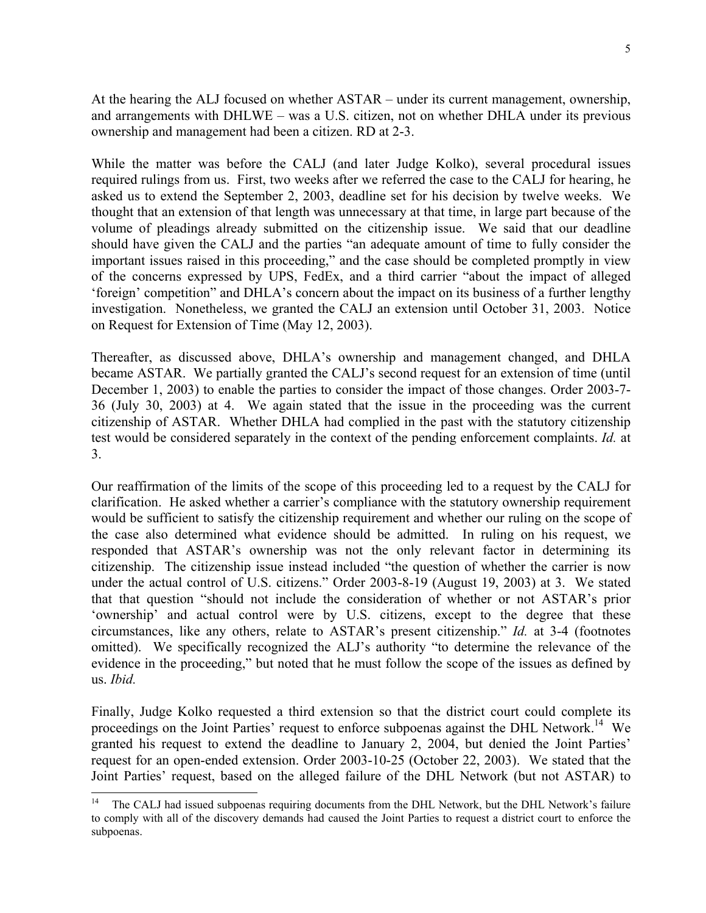At the hearing the ALJ focused on whether ASTAR – under its current management, ownership, and arrangements with DHLWE – was a U.S. citizen, not on whether DHLA under its previous ownership and management had been a citizen. RD at 2-3.

While the matter was before the CALJ (and later Judge Kolko), several procedural issues required rulings from us. First, two weeks after we referred the case to the CALJ for hearing, he asked us to extend the September 2, 2003, deadline set for his decision by twelve weeks. We thought that an extension of that length was unnecessary at that time, in large part because of the volume of pleadings already submitted on the citizenship issue. We said that our deadline should have given the CALJ and the parties "an adequate amount of time to fully consider the important issues raised in this proceeding," and the case should be completed promptly in view of the concerns expressed by UPS, FedEx, and a third carrier "about the impact of alleged 'foreign' competition" and DHLA's concern about the impact on its business of a further lengthy investigation. Nonetheless, we granted the CALJ an extension until October 31, 2003. Notice on Request for Extension of Time (May 12, 2003).

Thereafter, as discussed above, DHLA's ownership and management changed, and DHLA became ASTAR. We partially granted the CALJ's second request for an extension of time (until December 1, 2003) to enable the parties to consider the impact of those changes. Order 2003-7- 36 (July 30, 2003) at 4. We again stated that the issue in the proceeding was the current citizenship of ASTAR. Whether DHLA had complied in the past with the statutory citizenship test would be considered separately in the context of the pending enforcement complaints. *Id.* at 3.

Our reaffirmation of the limits of the scope of this proceeding led to a request by the CALJ for clarification. He asked whether a carrier's compliance with the statutory ownership requirement would be sufficient to satisfy the citizenship requirement and whether our ruling on the scope of the case also determined what evidence should be admitted. In ruling on his request, we responded that ASTAR's ownership was not the only relevant factor in determining its citizenship. The citizenship issue instead included "the question of whether the carrier is now under the actual control of U.S. citizens." Order 2003-8-19 (August 19, 2003) at 3. We stated that that question "should not include the consideration of whether or not ASTAR's prior 'ownership' and actual control were by U.S. citizens, except to the degree that these circumstances, like any others, relate to ASTAR's present citizenship." *Id.* at 3-4 (footnotes omitted). We specifically recognized the ALJ's authority "to determine the relevance of the evidence in the proceeding," but noted that he must follow the scope of the issues as defined by us. *Ibid.*

Finally, Judge Kolko requested a third extension so that the district court could complete its proceedings on the Joint Parties' request to enforce subpoenas against the DHL Network.<sup>14</sup> We granted his request to extend the deadline to January 2, 2004, but denied the Joint Parties' request for an open-ended extension. Order 2003-10-25 (October 22, 2003). We stated that the Joint Parties' request, based on the alleged failure of the DHL Network (but not ASTAR) to

The CALJ had issued subpoenas requiring documents from the DHL Network, but the DHL Network's failure to comply with all of the discovery demands had caused the Joint Parties to request a district court to enforce the subpoenas.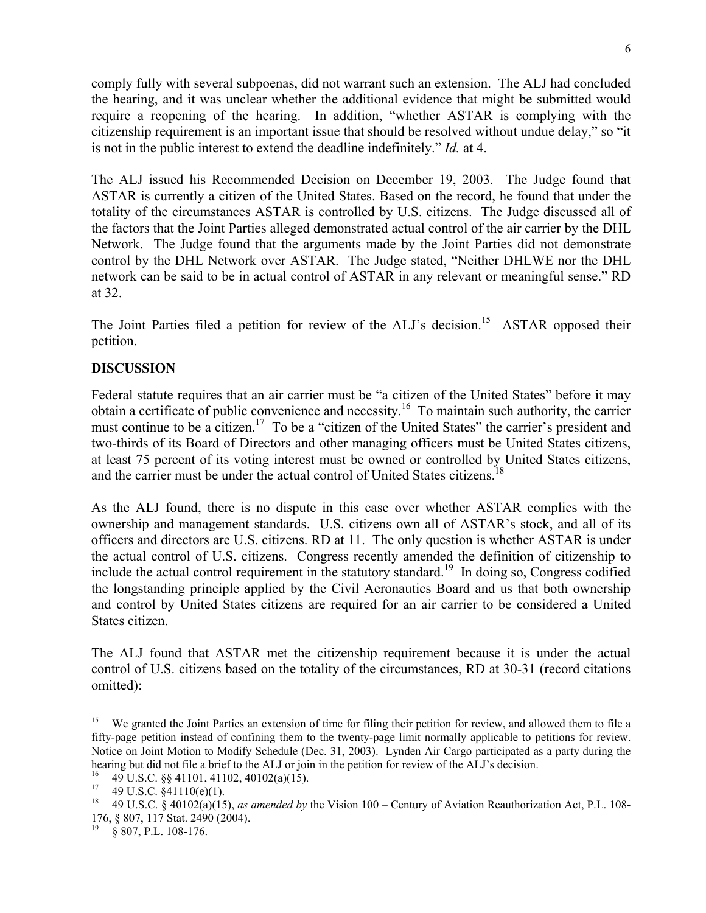comply fully with several subpoenas, did not warrant such an extension. The ALJ had concluded the hearing, and it was unclear whether the additional evidence that might be submitted would require a reopening of the hearing. In addition, "whether ASTAR is complying with the citizenship requirement is an important issue that should be resolved without undue delay," so "it is not in the public interest to extend the deadline indefinitely." *Id.* at 4.

The ALJ issued his Recommended Decision on December 19, 2003. The Judge found that ASTAR is currently a citizen of the United States. Based on the record, he found that under the totality of the circumstances ASTAR is controlled by U.S. citizens. The Judge discussed all of the factors that the Joint Parties alleged demonstrated actual control of the air carrier by the DHL Network. The Judge found that the arguments made by the Joint Parties did not demonstrate control by the DHL Network over ASTAR. The Judge stated, "Neither DHLWE nor the DHL network can be said to be in actual control of ASTAR in any relevant or meaningful sense." RD at 32.

The Joint Parties filed a petition for review of the ALJ's decision.<sup>15</sup> ASTAR opposed their petition.

### **DISCUSSION**

Federal statute requires that an air carrier must be "a citizen of the United States" before it may obtain a certificate of public convenience and necessity.16 To maintain such authority, the carrier must continue to be a citizen.<sup>17</sup> To be a "citizen of the United States" the carrier's president and two-thirds of its Board of Directors and other managing officers must be United States citizens, at least 75 percent of its voting interest must be owned or controlled by United States citizens, and the carrier must be under the actual control of United States citizens.<sup>18</sup>

As the ALJ found, there is no dispute in this case over whether ASTAR complies with the ownership and management standards. U.S. citizens own all of ASTAR's stock, and all of its officers and directors are U.S. citizens. RD at 11. The only question is whether ASTAR is under the actual control of U.S. citizens. Congress recently amended the definition of citizenship to include the actual control requirement in the statutory standard.<sup>19</sup> In doing so, Congress codified the longstanding principle applied by the Civil Aeronautics Board and us that both ownership and control by United States citizens are required for an air carrier to be considered a United States citizen.

The ALJ found that ASTAR met the citizenship requirement because it is under the actual control of U.S. citizens based on the totality of the circumstances, RD at 30-31 (record citations omitted):

<sup>15</sup> We granted the Joint Parties an extension of time for filing their petition for review, and allowed them to file a fifty-page petition instead of confining them to the twenty-page limit normally applicable to petitions for review. Notice on Joint Motion to Modify Schedule (Dec. 31, 2003). Lynden Air Cargo participated as a party during the hearing but did not file a brief to the ALJ or join in the petition for review of the ALJ's decision.

<sup>&</sup>lt;sup>16</sup> 49 U.S.C. §§ 41101, 41102, 40102(a)(15).

<sup>&</sup>lt;sup>17</sup> 49 U.S.C.  $\S 41110(e)(1)$ .<br><sup>18</sup> 40 U.S.C.  $\S 40102(e)(15)$ 

<sup>18 49</sup> U.S.C. § 40102(a)(15), *as amended by* the Vision 100 – Century of Aviation Reauthorization Act, P.L. 108- 176, § 807, 117 Stat. 2490 (2004).<br><sup>19</sup> s 907 B J 108 176

<sup>§ 807,</sup> P.L. 108-176.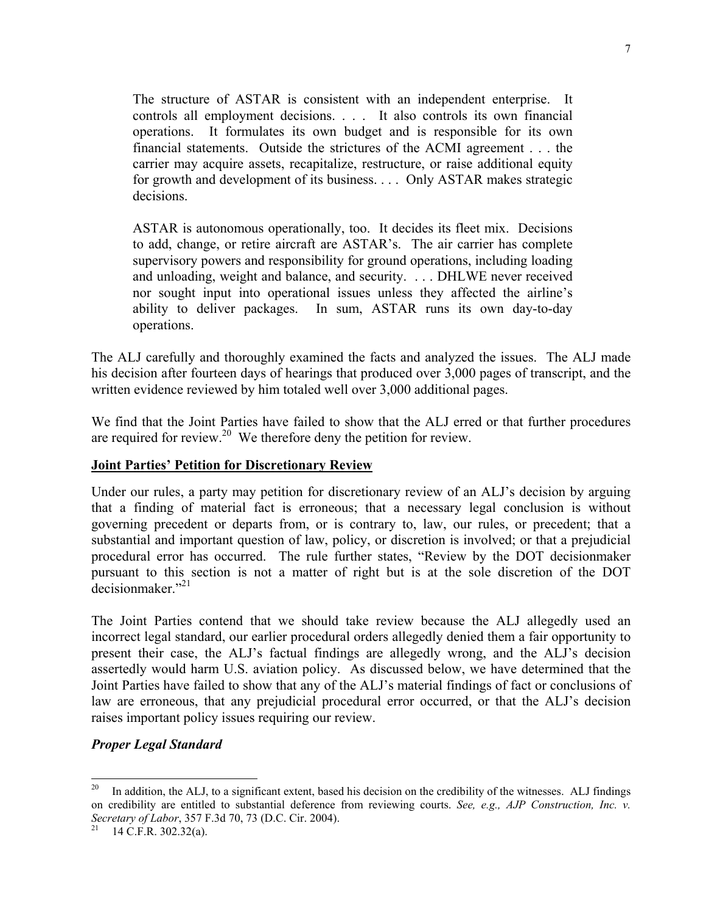The structure of ASTAR is consistent with an independent enterprise. It controls all employment decisions. . . . It also controls its own financial operations. It formulates its own budget and is responsible for its own financial statements. Outside the strictures of the ACMI agreement . . . the carrier may acquire assets, recapitalize, restructure, or raise additional equity for growth and development of its business. . . . Only ASTAR makes strategic decisions.

ASTAR is autonomous operationally, too. It decides its fleet mix. Decisions to add, change, or retire aircraft are ASTAR's. The air carrier has complete supervisory powers and responsibility for ground operations, including loading and unloading, weight and balance, and security. . . . DHLWE never received nor sought input into operational issues unless they affected the airline's ability to deliver packages. In sum, ASTAR runs its own day-to-day operations.

The ALJ carefully and thoroughly examined the facts and analyzed the issues. The ALJ made his decision after fourteen days of hearings that produced over 3,000 pages of transcript, and the written evidence reviewed by him totaled well over 3,000 additional pages.

We find that the Joint Parties have failed to show that the ALJ erred or that further procedures are required for review.<sup>20</sup> We therefore deny the petition for review.

### **Joint Parties' Petition for Discretionary Review**

Under our rules, a party may petition for discretionary review of an ALJ's decision by arguing that a finding of material fact is erroneous; that a necessary legal conclusion is without governing precedent or departs from, or is contrary to, law, our rules, or precedent; that a substantial and important question of law, policy, or discretion is involved; or that a prejudicial procedural error has occurred. The rule further states, "Review by the DOT decisionmaker pursuant to this section is not a matter of right but is at the sole discretion of the DOT decisionmaker $"^{21}$ 

The Joint Parties contend that we should take review because the ALJ allegedly used an incorrect legal standard, our earlier procedural orders allegedly denied them a fair opportunity to present their case, the ALJ's factual findings are allegedly wrong, and the ALJ's decision assertedly would harm U.S. aviation policy. As discussed below, we have determined that the Joint Parties have failed to show that any of the ALJ's material findings of fact or conclusions of law are erroneous, that any prejudicial procedural error occurred, or that the ALJ's decision raises important policy issues requiring our review.

### *Proper Legal Standard*

<sup>20</sup> In addition, the ALJ, to a significant extent, based his decision on the credibility of the witnesses. ALJ findings on credibility are entitled to substantial deference from reviewing courts. *See, e.g., AJP Construction, Inc. v. Secretary of Labor*, 357 F.3d 70, 73 (D.C. Cir. 2004). 21 14 C.F.R. 302.32(a).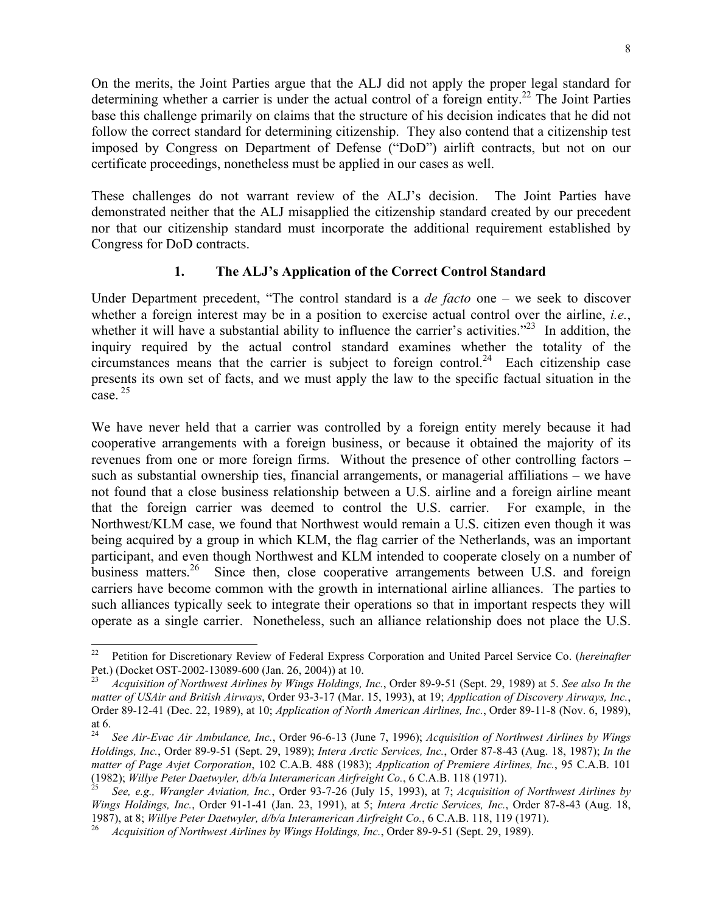On the merits, the Joint Parties argue that the ALJ did not apply the proper legal standard for determining whether a carrier is under the actual control of a foreign entity.<sup>22</sup> The Joint Parties base this challenge primarily on claims that the structure of his decision indicates that he did not follow the correct standard for determining citizenship. They also contend that a citizenship test imposed by Congress on Department of Defense ("DoD") airlift contracts, but not on our certificate proceedings, nonetheless must be applied in our cases as well.

These challenges do not warrant review of the ALJ's decision. The Joint Parties have demonstrated neither that the ALJ misapplied the citizenship standard created by our precedent nor that our citizenship standard must incorporate the additional requirement established by Congress for DoD contracts.

### **1. The ALJ's Application of the Correct Control Standard**

Under Department precedent, "The control standard is a *de facto* one – we seek to discover whether a foreign interest may be in a position to exercise actual control over the airline, *i.e.*, whether it will have a substantial ability to influence the carrier's activities."<sup>23</sup> In addition, the inquiry required by the actual control standard examines whether the totality of the circumstances means that the carrier is subject to foreign control.<sup>24</sup> Each citizenship case presents its own set of facts, and we must apply the law to the specific factual situation in the case. 25

We have never held that a carrier was controlled by a foreign entity merely because it had cooperative arrangements with a foreign business, or because it obtained the majority of its revenues from one or more foreign firms. Without the presence of other controlling factors – such as substantial ownership ties, financial arrangements, or managerial affiliations – we have not found that a close business relationship between a U.S. airline and a foreign airline meant that the foreign carrier was deemed to control the U.S. carrier. For example, in the Northwest/KLM case, we found that Northwest would remain a U.S. citizen even though it was being acquired by a group in which KLM, the flag carrier of the Netherlands, was an important participant, and even though Northwest and KLM intended to cooperate closely on a number of business matters.<sup>26</sup> Since then, close cooperative arrangements between U.S. and foreign carriers have become common with the growth in international airline alliances. The parties to such alliances typically seek to integrate their operations so that in important respects they will operate as a single carrier. Nonetheless, such an alliance relationship does not place the U.S.

 $22\,$ 22 Petition for Discretionary Review of Federal Express Corporation and United Parcel Service Co. (*hereinafter* Pet.) (Docket OST-2002-13089-600 (Jan. 26, 2004)) at 10.

<sup>23</sup> *Acquisition of Northwest Airlines by Wings Holdings, Inc.*, Order 89-9-51 (Sept. 29, 1989) at 5. *See also In the matter of USAir and British Airways*, Order 93-3-17 (Mar. 15, 1993), at 19; *Application of Discovery Airways, Inc.*, Order 89-12-41 (Dec. 22, 1989), at 10; *Application of North American Airlines, Inc.*, Order 89-11-8 (Nov. 6, 1989), at 6.<br> $\frac{24}{ }$ 

<sup>24</sup> *See Air-Evac Air Ambulance, Inc.*, Order 96-6-13 (June 7, 1996); *Acquisition of Northwest Airlines by Wings Holdings, Inc.*, Order 89-9-51 (Sept. 29, 1989); *Intera Arctic Services, Inc.*, Order 87-8-43 (Aug. 18, 1987); *In the matter of Page Avjet Corporation*, 102 C.A.B. 488 (1983); *Application of Premiere Airlines, Inc.*, 95 C.A.B. 101 (1982); Willye Peter Daetwyler,  $d/b/a$  Interamerican Airfreight Co., 6 C.A.B. 118 (1971).<br><sup>25</sup> See, e.g., Wrangler Aviation, Inc., Order 93-7-26 (July 15, 1993), at 7; Acquisition of Northwest Airlines by

*Wings Holdings, Inc.*, Order 91-1-41 (Jan. 23, 1991), at 5; *Intera Arctic Services, Inc.*, Order 87-8-43 (Aug. 18, 1987), at 8; *Willye Peter Daetwyler, d/b/a Interamerican Airfreight Co.*, 6 C.A.B. 118, 119 (1971). 26 *Acquisition of Northwest Airlines by Wings Holdings, Inc.*, Order 89-9-51 (Sept. 29, 1989).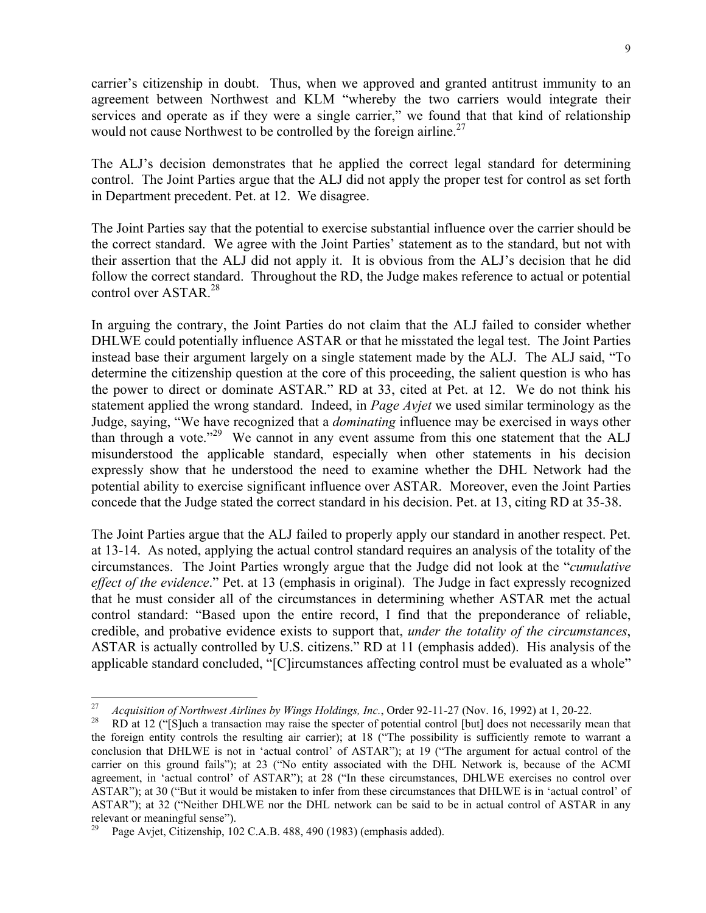carrier's citizenship in doubt. Thus, when we approved and granted antitrust immunity to an agreement between Northwest and KLM "whereby the two carriers would integrate their services and operate as if they were a single carrier," we found that that kind of relationship would not cause Northwest to be controlled by the foreign airline.<sup>27</sup>

The ALJ's decision demonstrates that he applied the correct legal standard for determining control. The Joint Parties argue that the ALJ did not apply the proper test for control as set forth in Department precedent. Pet. at 12. We disagree.

The Joint Parties say that the potential to exercise substantial influence over the carrier should be the correct standard. We agree with the Joint Parties' statement as to the standard, but not with their assertion that the ALJ did not apply it. It is obvious from the ALJ's decision that he did follow the correct standard. Throughout the RD, the Judge makes reference to actual or potential control over ASTAR.28

In arguing the contrary, the Joint Parties do not claim that the ALJ failed to consider whether DHLWE could potentially influence ASTAR or that he misstated the legal test. The Joint Parties instead base their argument largely on a single statement made by the ALJ. The ALJ said, "To determine the citizenship question at the core of this proceeding, the salient question is who has the power to direct or dominate ASTAR." RD at 33, cited at Pet. at 12. We do not think his statement applied the wrong standard. Indeed, in *Page Avjet* we used similar terminology as the Judge, saying, "We have recognized that a *dominating* influence may be exercised in ways other than through a vote."<sup>29</sup> We cannot in any event assume from this one statement that the ALJ misunderstood the applicable standard, especially when other statements in his decision expressly show that he understood the need to examine whether the DHL Network had the potential ability to exercise significant influence over ASTAR. Moreover, even the Joint Parties concede that the Judge stated the correct standard in his decision. Pet. at 13, citing RD at 35-38.

The Joint Parties argue that the ALJ failed to properly apply our standard in another respect. Pet. at 13-14. As noted, applying the actual control standard requires an analysis of the totality of the circumstances. The Joint Parties wrongly argue that the Judge did not look at the "*cumulative effect of the evidence*." Pet. at 13 (emphasis in original). The Judge in fact expressly recognized that he must consider all of the circumstances in determining whether ASTAR met the actual control standard: "Based upon the entire record, I find that the preponderance of reliable, credible, and probative evidence exists to support that, *under the totality of the circumstances*, ASTAR is actually controlled by U.S. citizens." RD at 11 (emphasis added). His analysis of the applicable standard concluded, "[C]ircumstances affecting control must be evaluated as a whole"

<sup>27</sup> <sup>27</sup> *Acquisition of Northwest Airlines by Wings Holdings, Inc.*, Order 92-11-27 (Nov. 16, 1992) at 1, 20-22.<br><sup>28</sup> RD at 12 ("[S]uch a transaction may raise the specter of potential control [but] does not necessarily mean

the foreign entity controls the resulting air carrier); at 18 ("The possibility is sufficiently remote to warrant a conclusion that DHLWE is not in 'actual control' of ASTAR"); at 19 ("The argument for actual control of the carrier on this ground fails"); at 23 ("No entity associated with the DHL Network is, because of the ACMI agreement, in 'actual control' of ASTAR"); at 28 ("In these circumstances, DHLWE exercises no control over ASTAR"); at 30 ("But it would be mistaken to infer from these circumstances that DHLWE is in 'actual control' of ASTAR"); at 32 ("Neither DHLWE nor the DHL network can be said to be in actual control of ASTAR in any relevant or meaningful sense").

<sup>&</sup>lt;sup>29</sup> Page Avjet, Citizenship, 102 C.A.B. 488, 490 (1983) (emphasis added).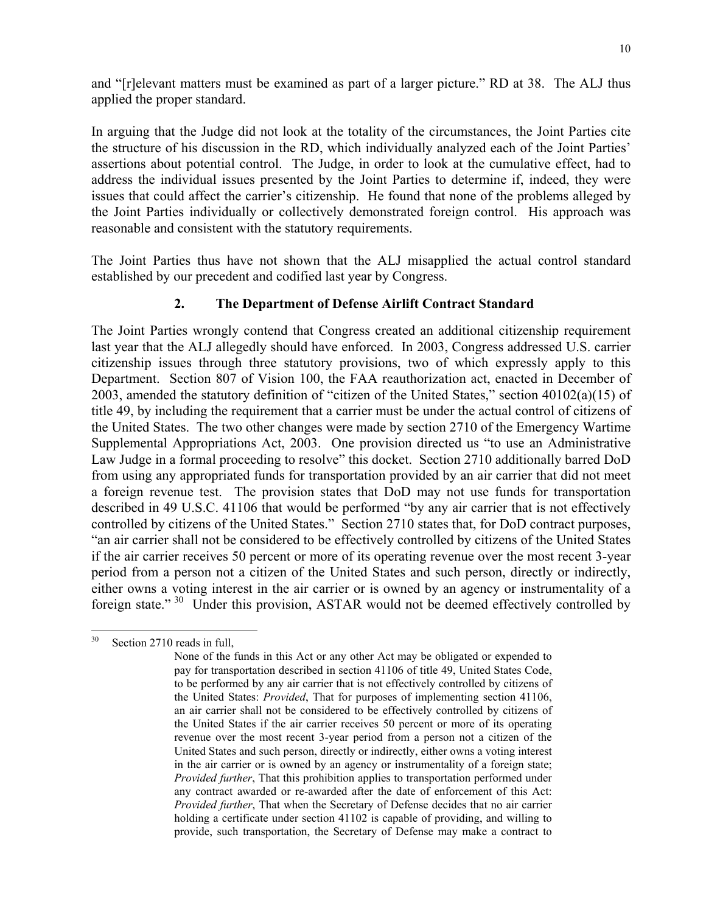and "[r]elevant matters must be examined as part of a larger picture." RD at 38. The ALJ thus applied the proper standard.

In arguing that the Judge did not look at the totality of the circumstances, the Joint Parties cite the structure of his discussion in the RD, which individually analyzed each of the Joint Parties' assertions about potential control. The Judge, in order to look at the cumulative effect, had to address the individual issues presented by the Joint Parties to determine if, indeed, they were issues that could affect the carrier's citizenship. He found that none of the problems alleged by the Joint Parties individually or collectively demonstrated foreign control. His approach was reasonable and consistent with the statutory requirements.

The Joint Parties thus have not shown that the ALJ misapplied the actual control standard established by our precedent and codified last year by Congress.

### **2. The Department of Defense Airlift Contract Standard**

The Joint Parties wrongly contend that Congress created an additional citizenship requirement last year that the ALJ allegedly should have enforced. In 2003, Congress addressed U.S. carrier citizenship issues through three statutory provisions, two of which expressly apply to this Department. Section 807 of Vision 100, the FAA reauthorization act, enacted in December of 2003, amended the statutory definition of "citizen of the United States," section 40102(a)(15) of title 49, by including the requirement that a carrier must be under the actual control of citizens of the United States. The two other changes were made by section 2710 of the Emergency Wartime Supplemental Appropriations Act, 2003. One provision directed us "to use an Administrative Law Judge in a formal proceeding to resolve" this docket. Section 2710 additionally barred DoD from using any appropriated funds for transportation provided by an air carrier that did not meet a foreign revenue test. The provision states that DoD may not use funds for transportation described in 49 U.S.C. 41106 that would be performed "by any air carrier that is not effectively controlled by citizens of the United States." Section 2710 states that, for DoD contract purposes, "an air carrier shall not be considered to be effectively controlled by citizens of the United States if the air carrier receives 50 percent or more of its operating revenue over the most recent 3-year period from a person not a citizen of the United States and such person, directly or indirectly, either owns a voting interest in the air carrier or is owned by an agency or instrumentality of a foreign state."<sup>30</sup> Under this provision, ASTAR would not be deemed effectively controlled by

<sup>30</sup> Section 2710 reads in full,

None of the funds in this Act or any other Act may be obligated or expended to pay for transportation described in section 41106 of title 49, United States Code, to be performed by any air carrier that is not effectively controlled by citizens of the United States: *Provided*, That for purposes of implementing section 41106, an air carrier shall not be considered to be effectively controlled by citizens of the United States if the air carrier receives 50 percent or more of its operating revenue over the most recent 3-year period from a person not a citizen of the United States and such person, directly or indirectly, either owns a voting interest in the air carrier or is owned by an agency or instrumentality of a foreign state; *Provided further*, That this prohibition applies to transportation performed under any contract awarded or re-awarded after the date of enforcement of this Act: *Provided further*, That when the Secretary of Defense decides that no air carrier holding a certificate under section 41102 is capable of providing, and willing to provide, such transportation, the Secretary of Defense may make a contract to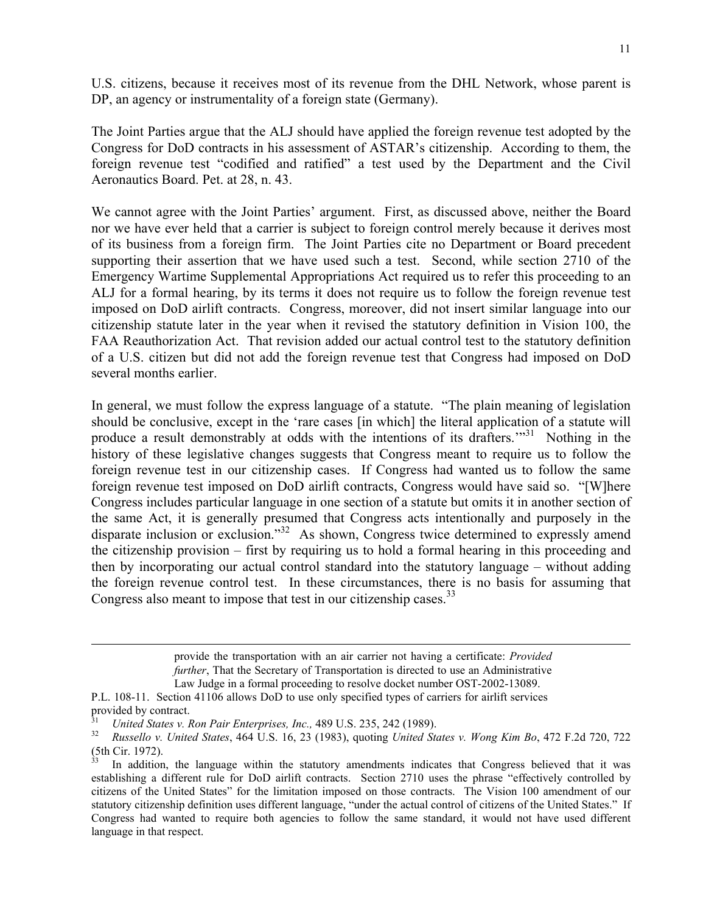U.S. citizens, because it receives most of its revenue from the DHL Network, whose parent is DP, an agency or instrumentality of a foreign state (Germany).

The Joint Parties argue that the ALJ should have applied the foreign revenue test adopted by the Congress for DoD contracts in his assessment of ASTAR's citizenship. According to them, the foreign revenue test "codified and ratified" a test used by the Department and the Civil Aeronautics Board. Pet. at 28, n. 43.

We cannot agree with the Joint Parties' argument. First, as discussed above, neither the Board nor we have ever held that a carrier is subject to foreign control merely because it derives most of its business from a foreign firm. The Joint Parties cite no Department or Board precedent supporting their assertion that we have used such a test. Second, while section 2710 of the Emergency Wartime Supplemental Appropriations Act required us to refer this proceeding to an ALJ for a formal hearing, by its terms it does not require us to follow the foreign revenue test imposed on DoD airlift contracts. Congress, moreover, did not insert similar language into our citizenship statute later in the year when it revised the statutory definition in Vision 100, the FAA Reauthorization Act. That revision added our actual control test to the statutory definition of a U.S. citizen but did not add the foreign revenue test that Congress had imposed on DoD several months earlier.

In general, we must follow the express language of a statute. "The plain meaning of legislation should be conclusive, except in the 'rare cases [in which] the literal application of a statute will produce a result demonstrably at odds with the intentions of its drafters.<sup>"31</sup> Nothing in the history of these legislative changes suggests that Congress meant to require us to follow the foreign revenue test in our citizenship cases. If Congress had wanted us to follow the same foreign revenue test imposed on DoD airlift contracts, Congress would have said so. "[W]here Congress includes particular language in one section of a statute but omits it in another section of the same Act, it is generally presumed that Congress acts intentionally and purposely in the disparate inclusion or exclusion."<sup>32</sup> As shown, Congress twice determined to expressly amend the citizenship provision – first by requiring us to hold a formal hearing in this proceeding and then by incorporating our actual control standard into the statutory language – without adding the foreign revenue control test. In these circumstances, there is no basis for assuming that Congress also meant to impose that test in our citizenship cases.<sup>33</sup>

> provide the transportation with an air carrier not having a certificate: *Provided further*, That the Secretary of Transportation is directed to use an Administrative Law Judge in a formal proceeding to resolve docket number OST-2002-13089.

P.L. 108-11. Section 41106 allows DoD to use only specified types of carriers for airlift services provided by contract.

<sup>31</sup>*United States v. Ron Pair Enterprises, Inc.,* 489 U.S. 235, 242 (1989). 32 *Russello v. United States*, 464 U.S. 16, 23 (1983), quoting *United States v. Wong Kim Bo*, 472 F.2d 720, 722  $(5th$  Cir. 1972).

In addition, the language within the statutory amendments indicates that Congress believed that it was establishing a different rule for DoD airlift contracts. Section 2710 uses the phrase "effectively controlled by citizens of the United States" for the limitation imposed on those contracts. The Vision 100 amendment of our statutory citizenship definition uses different language, "under the actual control of citizens of the United States." If Congress had wanted to require both agencies to follow the same standard, it would not have used different language in that respect.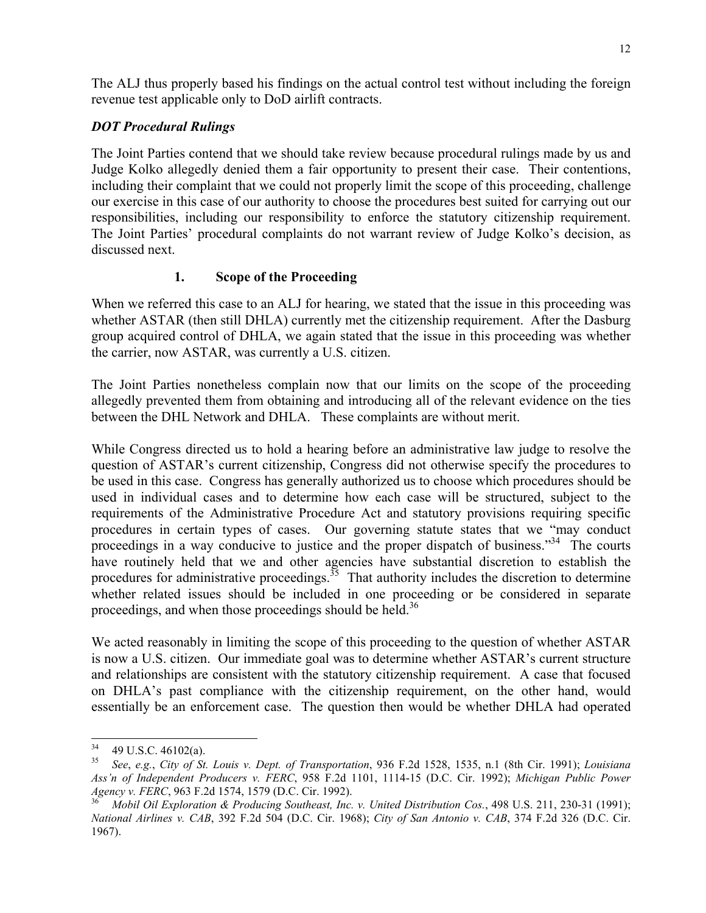The ALJ thus properly based his findings on the actual control test without including the foreign revenue test applicable only to DoD airlift contracts.

## *DOT Procedural Rulings*

The Joint Parties contend that we should take review because procedural rulings made by us and Judge Kolko allegedly denied them a fair opportunity to present their case. Their contentions, including their complaint that we could not properly limit the scope of this proceeding, challenge our exercise in this case of our authority to choose the procedures best suited for carrying out our responsibilities, including our responsibility to enforce the statutory citizenship requirement. The Joint Parties' procedural complaints do not warrant review of Judge Kolko's decision, as discussed next.

## **1. Scope of the Proceeding**

When we referred this case to an ALJ for hearing, we stated that the issue in this proceeding was whether ASTAR (then still DHLA) currently met the citizenship requirement. After the Dasburg group acquired control of DHLA, we again stated that the issue in this proceeding was whether the carrier, now ASTAR, was currently a U.S. citizen.

The Joint Parties nonetheless complain now that our limits on the scope of the proceeding allegedly prevented them from obtaining and introducing all of the relevant evidence on the ties between the DHL Network and DHLA. These complaints are without merit.

While Congress directed us to hold a hearing before an administrative law judge to resolve the question of ASTAR's current citizenship, Congress did not otherwise specify the procedures to be used in this case. Congress has generally authorized us to choose which procedures should be used in individual cases and to determine how each case will be structured, subject to the requirements of the Administrative Procedure Act and statutory provisions requiring specific procedures in certain types of cases. Our governing statute states that we "may conduct proceedings in a way conducive to justice and the proper dispatch of business."<sup>34</sup> The courts have routinely held that we and other agencies have substantial discretion to establish the procedures for administrative proceedings.<sup>35</sup> That authority includes the discretion to determine whether related issues should be included in one proceeding or be considered in separate proceedings, and when those proceedings should be held.<sup>36</sup>

We acted reasonably in limiting the scope of this proceeding to the question of whether ASTAR is now a U.S. citizen. Our immediate goal was to determine whether ASTAR's current structure and relationships are consistent with the statutory citizenship requirement. A case that focused on DHLA's past compliance with the citizenship requirement, on the other hand, would essentially be an enforcement case. The question then would be whether DHLA had operated

 $34$  $^{34}$  49 U.S.C. 46102(a).<br><sup>35</sup> See e.g. City of St.

<sup>35</sup> *See*, *e.g.*, *City of St. Louis v. Dept. of Transportation*, 936 F.2d 1528, 1535, n.1 (8th Cir. 1991); *Louisiana Ass'n of Independent Producers v. FERC*, 958 F.2d 1101, 1114-15 (D.C. Cir. 1992); *Michigan Public Power Agency v. FERC*, 963 F.2d 1574, 1579 (D.C. Cir. 1992).<br><sup>36</sup> *Mobil Oil Exploration & Producing Southeast, Inc. v. United Distribution Cos.*, 498 U.S. 211, 230-31 (1991);

*National Airlines v. CAB*, 392 F.2d 504 (D.C. Cir. 1968); *City of San Antonio v. CAB*, 374 F.2d 326 (D.C. Cir. 1967).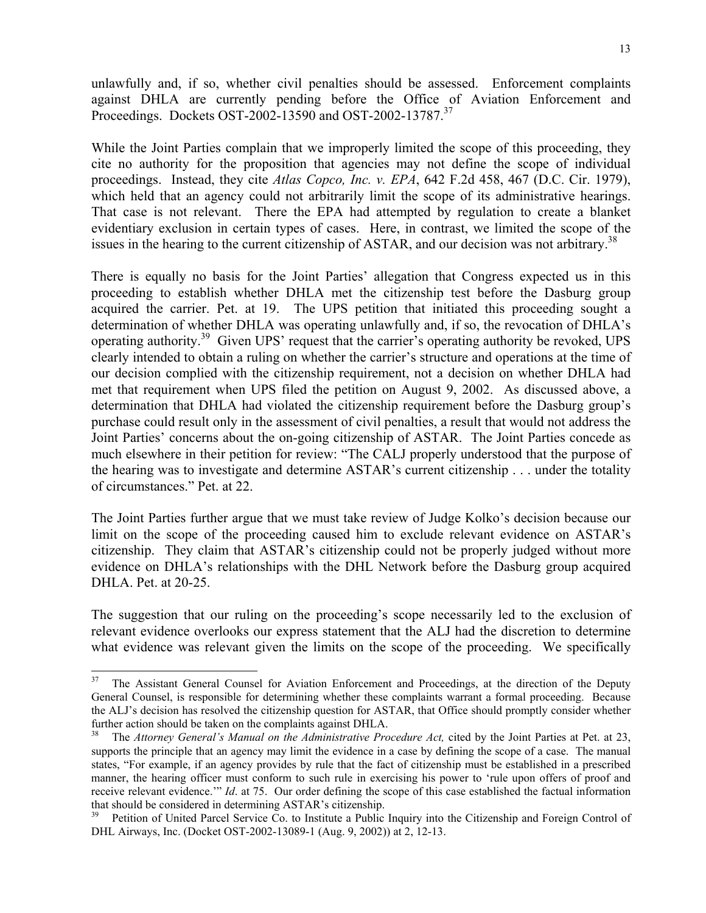unlawfully and, if so, whether civil penalties should be assessed. Enforcement complaints against DHLA are currently pending before the Office of Aviation Enforcement and Proceedings. Dockets OST-2002-13590 and OST-2002-13787.37

While the Joint Parties complain that we improperly limited the scope of this proceeding, they cite no authority for the proposition that agencies may not define the scope of individual proceedings. Instead, they cite *Atlas Copco, Inc. v. EPA*, 642 F.2d 458, 467 (D.C. Cir. 1979), which held that an agency could not arbitrarily limit the scope of its administrative hearings. That case is not relevant. There the EPA had attempted by regulation to create a blanket evidentiary exclusion in certain types of cases. Here, in contrast, we limited the scope of the issues in the hearing to the current citizenship of ASTAR, and our decision was not arbitrary.<sup>38</sup>

There is equally no basis for the Joint Parties' allegation that Congress expected us in this proceeding to establish whether DHLA met the citizenship test before the Dasburg group acquired the carrier. Pet. at 19. The UPS petition that initiated this proceeding sought a determination of whether DHLA was operating unlawfully and, if so, the revocation of DHLA's operating authority.<sup>39</sup> Given UPS' request that the carrier's operating authority be revoked, UPS clearly intended to obtain a ruling on whether the carrier's structure and operations at the time of our decision complied with the citizenship requirement, not a decision on whether DHLA had met that requirement when UPS filed the petition on August 9, 2002. As discussed above, a determination that DHLA had violated the citizenship requirement before the Dasburg group's purchase could result only in the assessment of civil penalties, a result that would not address the Joint Parties' concerns about the on-going citizenship of ASTAR. The Joint Parties concede as much elsewhere in their petition for review: "The CALJ properly understood that the purpose of the hearing was to investigate and determine ASTAR's current citizenship . . . under the totality of circumstances." Pet. at 22.

The Joint Parties further argue that we must take review of Judge Kolko's decision because our limit on the scope of the proceeding caused him to exclude relevant evidence on ASTAR's citizenship. They claim that ASTAR's citizenship could not be properly judged without more evidence on DHLA's relationships with the DHL Network before the Dasburg group acquired DHLA. Pet. at 20-25.

The suggestion that our ruling on the proceeding's scope necessarily led to the exclusion of relevant evidence overlooks our express statement that the ALJ had the discretion to determine what evidence was relevant given the limits on the scope of the proceeding. We specifically

<sup>&</sup>lt;sup>37</sup> The Assistant General Counsel for Aviation Enforcement and Proceedings, at the direction of the Deputy General Counsel, is responsible for determining whether these complaints warrant a formal proceeding. Because the ALJ's decision has resolved the citizenship question for ASTAR, that Office should promptly consider whether further action should be taken on the complaints against DHLA.

<sup>38</sup> The *Attorney General's Manual on the Administrative Procedure Act,* cited by the Joint Parties at Pet. at 23, supports the principle that an agency may limit the evidence in a case by defining the scope of a case. The manual states, "For example, if an agency provides by rule that the fact of citizenship must be established in a prescribed manner, the hearing officer must conform to such rule in exercising his power to 'rule upon offers of proof and receive relevant evidence.'" *Id*. at 75. Our order defining the scope of this case established the factual information that should be considered in determining ASTAR's citizenship.<br><sup>39</sup> Petition of United Parcel Service Co. to Institute a Public Inquiry into the Citizenship and Foreign Control of

DHL Airways, Inc. (Docket OST-2002-13089-1 (Aug. 9, 2002)) at 2, 12-13.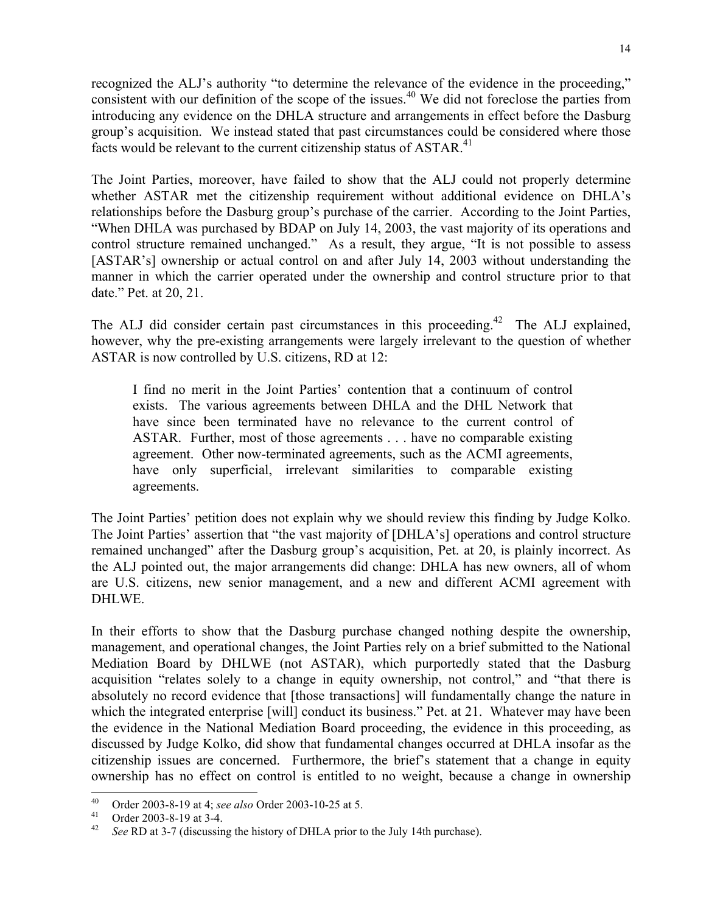recognized the ALJ's authority "to determine the relevance of the evidence in the proceeding," consistent with our definition of the scope of the issues.<sup>40</sup> We did not foreclose the parties from introducing any evidence on the DHLA structure and arrangements in effect before the Dasburg group's acquisition. We instead stated that past circumstances could be considered where those facts would be relevant to the current citizenship status of  $ASTAR<sup>41</sup>$ .

The Joint Parties, moreover, have failed to show that the ALJ could not properly determine whether ASTAR met the citizenship requirement without additional evidence on DHLA's relationships before the Dasburg group's purchase of the carrier. According to the Joint Parties, "When DHLA was purchased by BDAP on July 14, 2003, the vast majority of its operations and control structure remained unchanged." As a result, they argue, "It is not possible to assess [ASTAR's] ownership or actual control on and after July 14, 2003 without understanding the manner in which the carrier operated under the ownership and control structure prior to that date." Pet. at 20, 21.

The ALJ did consider certain past circumstances in this proceeding.<sup>42</sup> The ALJ explained, however, why the pre-existing arrangements were largely irrelevant to the question of whether ASTAR is now controlled by U.S. citizens, RD at 12:

I find no merit in the Joint Parties' contention that a continuum of control exists. The various agreements between DHLA and the DHL Network that have since been terminated have no relevance to the current control of ASTAR. Further, most of those agreements . . . have no comparable existing agreement. Other now-terminated agreements, such as the ACMI agreements, have only superficial, irrelevant similarities to comparable existing agreements.

The Joint Parties' petition does not explain why we should review this finding by Judge Kolko. The Joint Parties' assertion that "the vast majority of [DHLA's] operations and control structure remained unchanged" after the Dasburg group's acquisition, Pet. at 20, is plainly incorrect. As the ALJ pointed out, the major arrangements did change: DHLA has new owners, all of whom are U.S. citizens, new senior management, and a new and different ACMI agreement with DHLWE.

In their efforts to show that the Dasburg purchase changed nothing despite the ownership, management, and operational changes, the Joint Parties rely on a brief submitted to the National Mediation Board by DHLWE (not ASTAR), which purportedly stated that the Dasburg acquisition "relates solely to a change in equity ownership, not control," and "that there is absolutely no record evidence that [those transactions] will fundamentally change the nature in which the integrated enterprise [will] conduct its business." Pet. at 21. Whatever may have been the evidence in the National Mediation Board proceeding, the evidence in this proceeding, as discussed by Judge Kolko, did show that fundamental changes occurred at DHLA insofar as the citizenship issues are concerned. Furthermore, the brief's statement that a change in equity ownership has no effect on control is entitled to no weight, because a change in ownership

 $40<sup>°</sup>$ 40 Order 2003-8-19 at 4; *see also* Order 2003-10-25 at 5.<br>41 Order 2003-8-19 at 3-4.<br>42 See P.D. at 3.7 (discussing the history of DHI A prior to

See RD at 3-7 (discussing the history of DHLA prior to the July 14th purchase).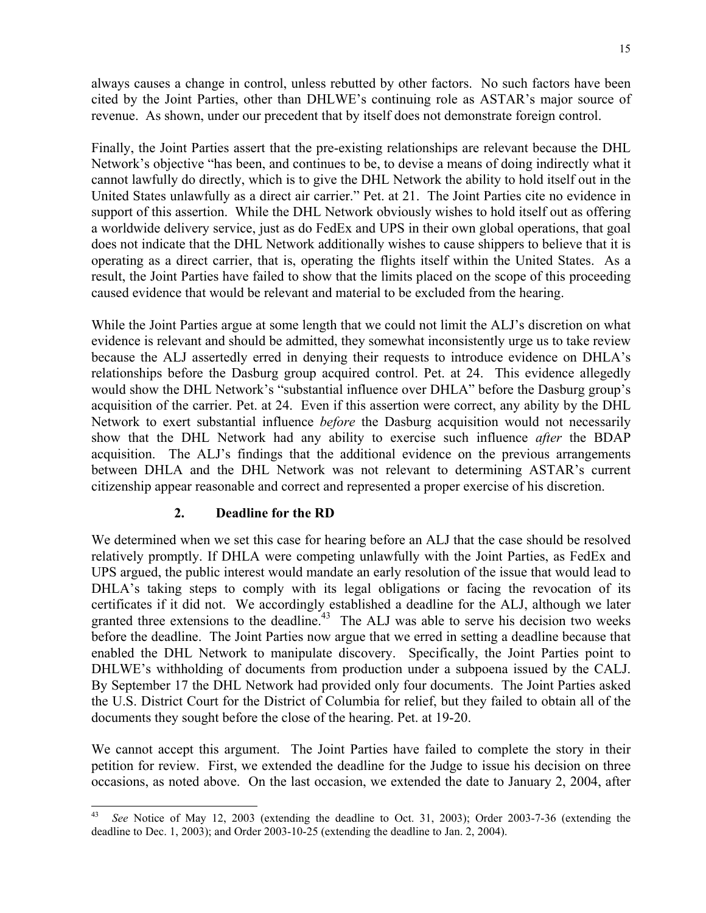always causes a change in control, unless rebutted by other factors. No such factors have been cited by the Joint Parties, other than DHLWE's continuing role as ASTAR's major source of revenue. As shown, under our precedent that by itself does not demonstrate foreign control.

Finally, the Joint Parties assert that the pre-existing relationships are relevant because the DHL Network's objective "has been, and continues to be, to devise a means of doing indirectly what it cannot lawfully do directly, which is to give the DHL Network the ability to hold itself out in the United States unlawfully as a direct air carrier." Pet. at 21. The Joint Parties cite no evidence in support of this assertion. While the DHL Network obviously wishes to hold itself out as offering a worldwide delivery service, just as do FedEx and UPS in their own global operations, that goal does not indicate that the DHL Network additionally wishes to cause shippers to believe that it is operating as a direct carrier, that is, operating the flights itself within the United States. As a result, the Joint Parties have failed to show that the limits placed on the scope of this proceeding caused evidence that would be relevant and material to be excluded from the hearing.

While the Joint Parties argue at some length that we could not limit the ALJ's discretion on what evidence is relevant and should be admitted, they somewhat inconsistently urge us to take review because the ALJ assertedly erred in denying their requests to introduce evidence on DHLA's relationships before the Dasburg group acquired control. Pet. at 24. This evidence allegedly would show the DHL Network's "substantial influence over DHLA" before the Dasburg group's acquisition of the carrier. Pet. at 24. Even if this assertion were correct, any ability by the DHL Network to exert substantial influence *before* the Dasburg acquisition would not necessarily show that the DHL Network had any ability to exercise such influence *after* the BDAP acquisition. The ALJ's findings that the additional evidence on the previous arrangements between DHLA and the DHL Network was not relevant to determining ASTAR's current citizenship appear reasonable and correct and represented a proper exercise of his discretion.

## **2. Deadline for the RD**

We determined when we set this case for hearing before an ALJ that the case should be resolved relatively promptly. If DHLA were competing unlawfully with the Joint Parties, as FedEx and UPS argued, the public interest would mandate an early resolution of the issue that would lead to DHLA's taking steps to comply with its legal obligations or facing the revocation of its certificates if it did not. We accordingly established a deadline for the ALJ, although we later granted three extensions to the deadline.<sup>43</sup> The ALJ was able to serve his decision two weeks before the deadline. The Joint Parties now argue that we erred in setting a deadline because that enabled the DHL Network to manipulate discovery. Specifically, the Joint Parties point to DHLWE's withholding of documents from production under a subpoena issued by the CALJ. By September 17 the DHL Network had provided only four documents. The Joint Parties asked the U.S. District Court for the District of Columbia for relief, but they failed to obtain all of the documents they sought before the close of the hearing. Pet. at 19-20.

We cannot accept this argument. The Joint Parties have failed to complete the story in their petition for review. First, we extended the deadline for the Judge to issue his decision on three occasions, as noted above. On the last occasion, we extended the date to January 2, 2004, after

 $\overline{a}$ See Notice of May 12, 2003 (extending the deadline to Oct. 31, 2003); Order 2003-7-36 (extending the deadline to Dec. 1, 2003); and Order 2003-10-25 (extending the deadline to Jan. 2, 2004).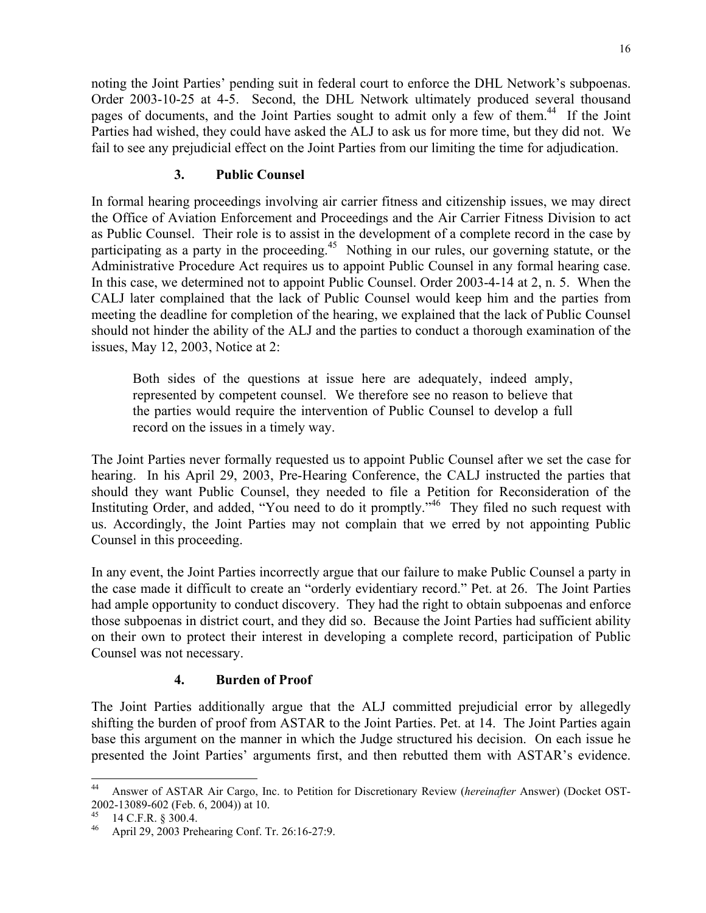noting the Joint Parties' pending suit in federal court to enforce the DHL Network's subpoenas. Order 2003-10-25 at 4-5. Second, the DHL Network ultimately produced several thousand pages of documents, and the Joint Parties sought to admit only a few of them.<sup>44</sup> If the Joint Parties had wished, they could have asked the ALJ to ask us for more time, but they did not. We fail to see any prejudicial effect on the Joint Parties from our limiting the time for adjudication.

## **3. Public Counsel**

In formal hearing proceedings involving air carrier fitness and citizenship issues, we may direct the Office of Aviation Enforcement and Proceedings and the Air Carrier Fitness Division to act as Public Counsel. Their role is to assist in the development of a complete record in the case by participating as a party in the proceeding.<sup>45</sup> Nothing in our rules, our governing statute, or the Administrative Procedure Act requires us to appoint Public Counsel in any formal hearing case. In this case, we determined not to appoint Public Counsel. Order 2003-4-14 at 2, n. 5. When the CALJ later complained that the lack of Public Counsel would keep him and the parties from meeting the deadline for completion of the hearing, we explained that the lack of Public Counsel should not hinder the ability of the ALJ and the parties to conduct a thorough examination of the issues, May 12, 2003, Notice at 2:

Both sides of the questions at issue here are adequately, indeed amply, represented by competent counsel. We therefore see no reason to believe that the parties would require the intervention of Public Counsel to develop a full record on the issues in a timely way.

The Joint Parties never formally requested us to appoint Public Counsel after we set the case for hearing. In his April 29, 2003, Pre-Hearing Conference, the CALJ instructed the parties that should they want Public Counsel, they needed to file a Petition for Reconsideration of the Instituting Order, and added, "You need to do it promptly."<sup>46</sup> They filed no such request with us. Accordingly, the Joint Parties may not complain that we erred by not appointing Public Counsel in this proceeding.

In any event, the Joint Parties incorrectly argue that our failure to make Public Counsel a party in the case made it difficult to create an "orderly evidentiary record." Pet. at 26. The Joint Parties had ample opportunity to conduct discovery. They had the right to obtain subpoenas and enforce those subpoenas in district court, and they did so. Because the Joint Parties had sufficient ability on their own to protect their interest in developing a complete record, participation of Public Counsel was not necessary.

## **4. Burden of Proof**

The Joint Parties additionally argue that the ALJ committed prejudicial error by allegedly shifting the burden of proof from ASTAR to the Joint Parties. Pet. at 14. The Joint Parties again base this argument on the manner in which the Judge structured his decision. On each issue he presented the Joint Parties' arguments first, and then rebutted them with ASTAR's evidence.

 $44\,$ 44 Answer of ASTAR Air Cargo, Inc. to Petition for Discretionary Review (*hereinafter* Answer) (Docket OST-2002-13089-602 (Feb. 6, 2004)) at 10.

 $^{45}$  14 C.F.R. § 300.4.

April 29, 2003 Prehearing Conf. Tr. 26:16-27:9.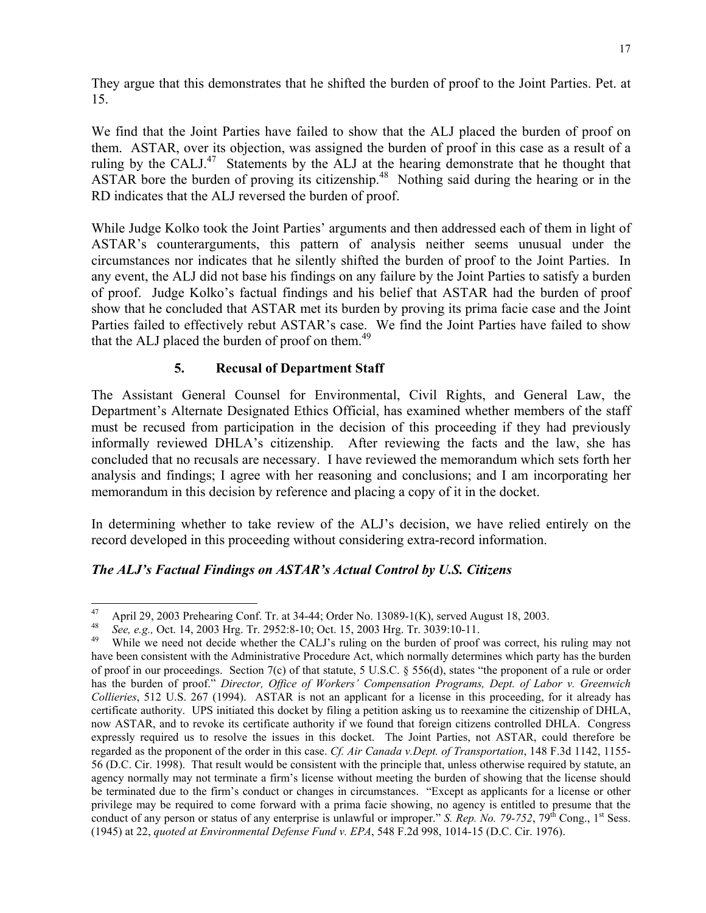They argue that this demonstrates that he shifted the burden of proof to the Joint Parties. Pet. at 15.

We find that the Joint Parties have failed to show that the ALJ placed the burden of proof on them. ASTAR, over its objection, was assigned the burden of proof in this case as a result of a ruling by the CALJ.<sup>47</sup> Statements by the ALJ at the hearing demonstrate that he thought that ASTAR bore the burden of proving its citizenship.<sup>48</sup> Nothing said during the hearing or in the RD indicates that the ALJ reversed the burden of proof.

While Judge Kolko took the Joint Parties' arguments and then addressed each of them in light of ASTAR's counterarguments, this pattern of analysis neither seems unusual under the circumstances nor indicates that he silently shifted the burden of proof to the Joint Parties. In any event, the ALJ did not base his findings on any failure by the Joint Parties to satisfy a burden of proof. Judge Kolko's factual findings and his belief that ASTAR had the burden of proof show that he concluded that ASTAR met its burden by proving its prima facie case and the Joint Parties failed to effectively rebut ASTAR's case. We find the Joint Parties have failed to show that the ALJ placed the burden of proof on them.<sup>49</sup>

## **5. Recusal of Department Staff**

The Assistant General Counsel for Environmental, Civil Rights, and General Law, the Department's Alternate Designated Ethics Official, has examined whether members of the staff must be recused from participation in the decision of this proceeding if they had previously informally reviewed DHLA's citizenship. After reviewing the facts and the law, she has concluded that no recusals are necessary. I have reviewed the memorandum which sets forth her analysis and findings; I agree with her reasoning and conclusions; and I am incorporating her memorandum in this decision by reference and placing a copy of it in the docket.

In determining whether to take review of the ALJ's decision, we have relied entirely on the record developed in this proceeding without considering extra-record information.

## *The ALJ's Factual Findings on ASTAR's Actual Control by U.S. Citizens*

 $^{47}$  April 29, 2003 Prehearing Conf. Tr. at 34-44; Order No. 13089-1(K), served August 18, 2003.<br> $^{48}$  See a.g. Oct 14, 2003 Hrg. Tr. 2952:8-10: Oct 15, 2003 Hrg. Tr. 3039:10-11

<sup>48</sup>*See, e.g.,* Oct. 14, 2003 Hrg. Tr. 2952:8-10; Oct. 15, 2003 Hrg. Tr. 3039:10-11. 49 While we need not decide whether the CALJ's ruling on the burden of proof was correct, his ruling may not have been consistent with the Administrative Procedure Act, which normally determines which party has the burden of proof in our proceedings. Section 7(c) of that statute, 5 U.S.C. § 556(d), states "the proponent of a rule or order has the burden of proof." *Director, Office of Workers' Compensation Programs, Dept. of Labor v. Greenwich Collieries*, 512 U.S. 267 (1994). ASTAR is not an applicant for a license in this proceeding, for it already has certificate authority. UPS initiated this docket by filing a petition asking us to reexamine the citizenship of DHLA, now ASTAR, and to revoke its certificate authority if we found that foreign citizens controlled DHLA. Congress expressly required us to resolve the issues in this docket. The Joint Parties, not ASTAR, could therefore be regarded as the proponent of the order in this case. *Cf. Air Canada v.Dept. of Transportation*, 148 F.3d 1142, 1155- 56 (D.C. Cir. 1998). That result would be consistent with the principle that, unless otherwise required by statute, an agency normally may not terminate a firm's license without meeting the burden of showing that the license should be terminated due to the firm's conduct or changes in circumstances. "Except as applicants for a license or other privilege may be required to come forward with a prima facie showing, no agency is entitled to presume that the conduct of any person or status of any enterprise is unlawful or improper." *S. Rep. No. 79-752*, 79<sup>th</sup> Cong., 1<sup>st</sup> Sess. (1945) at 22, *quoted at Environmental Defense Fund v. EPA*, 548 F.2d 998, 1014-15 (D.C. Cir. 1976).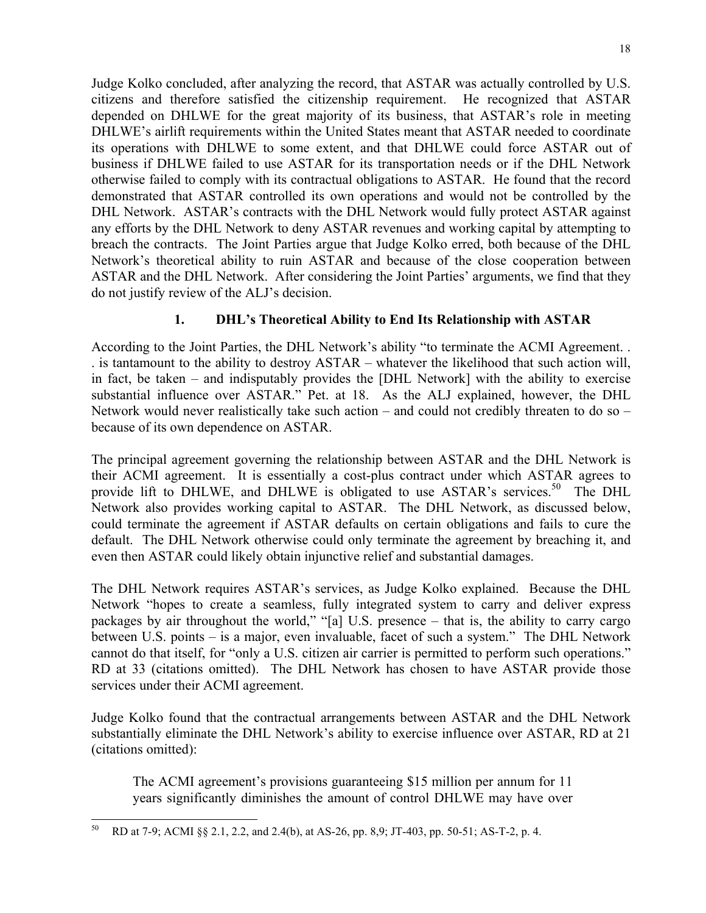Judge Kolko concluded, after analyzing the record, that ASTAR was actually controlled by U.S. citizens and therefore satisfied the citizenship requirement. He recognized that ASTAR depended on DHLWE for the great majority of its business, that ASTAR's role in meeting DHLWE's airlift requirements within the United States meant that ASTAR needed to coordinate its operations with DHLWE to some extent, and that DHLWE could force ASTAR out of business if DHLWE failed to use ASTAR for its transportation needs or if the DHL Network otherwise failed to comply with its contractual obligations to ASTAR. He found that the record demonstrated that ASTAR controlled its own operations and would not be controlled by the DHL Network. ASTAR's contracts with the DHL Network would fully protect ASTAR against any efforts by the DHL Network to deny ASTAR revenues and working capital by attempting to breach the contracts. The Joint Parties argue that Judge Kolko erred, both because of the DHL Network's theoretical ability to ruin ASTAR and because of the close cooperation between ASTAR and the DHL Network. After considering the Joint Parties' arguments, we find that they do not justify review of the ALJ's decision.

## **1. DHL's Theoretical Ability to End Its Relationship with ASTAR**

According to the Joint Parties, the DHL Network's ability "to terminate the ACMI Agreement. . . is tantamount to the ability to destroy ASTAR – whatever the likelihood that such action will, in fact, be taken – and indisputably provides the [DHL Network] with the ability to exercise substantial influence over ASTAR." Pet. at 18. As the ALJ explained, however, the DHL Network would never realistically take such action – and could not credibly threaten to do so – because of its own dependence on ASTAR.

The principal agreement governing the relationship between ASTAR and the DHL Network is their ACMI agreement. It is essentially a cost-plus contract under which ASTAR agrees to provide lift to DHLWE, and DHLWE is obligated to use  $ASTAR's$  services.<sup>50</sup> The DHL Network also provides working capital to ASTAR. The DHL Network, as discussed below, could terminate the agreement if ASTAR defaults on certain obligations and fails to cure the default. The DHL Network otherwise could only terminate the agreement by breaching it, and even then ASTAR could likely obtain injunctive relief and substantial damages.

The DHL Network requires ASTAR's services, as Judge Kolko explained. Because the DHL Network "hopes to create a seamless, fully integrated system to carry and deliver express packages by air throughout the world," "[a] U.S. presence – that is, the ability to carry cargo between U.S. points – is a major, even invaluable, facet of such a system." The DHL Network cannot do that itself, for "only a U.S. citizen air carrier is permitted to perform such operations." RD at 33 (citations omitted). The DHL Network has chosen to have ASTAR provide those services under their ACMI agreement.

Judge Kolko found that the contractual arrangements between ASTAR and the DHL Network substantially eliminate the DHL Network's ability to exercise influence over ASTAR, RD at 21 (citations omitted):

The ACMI agreement's provisions guaranteeing \$15 million per annum for 11 years significantly diminishes the amount of control DHLWE may have over

 $50\,$ 50 RD at 7-9; ACMI §§ 2.1, 2.2, and 2.4(b), at AS-26, pp. 8,9; JT-403, pp. 50-51; AS-T-2, p. 4.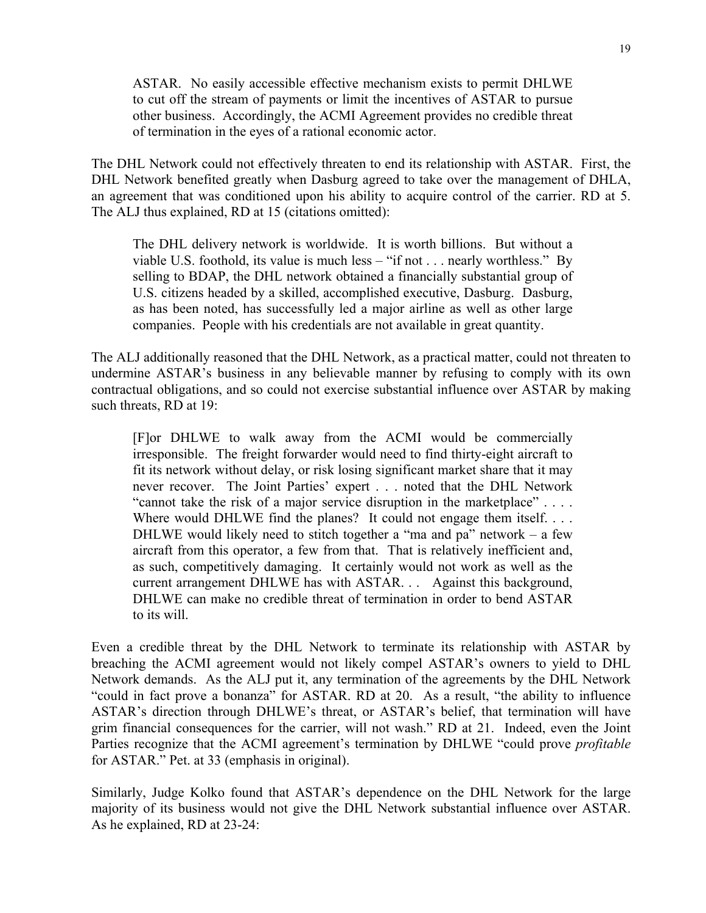ASTAR. No easily accessible effective mechanism exists to permit DHLWE to cut off the stream of payments or limit the incentives of ASTAR to pursue other business. Accordingly, the ACMI Agreement provides no credible threat of termination in the eyes of a rational economic actor.

The DHL Network could not effectively threaten to end its relationship with ASTAR. First, the DHL Network benefited greatly when Dasburg agreed to take over the management of DHLA, an agreement that was conditioned upon his ability to acquire control of the carrier. RD at 5. The ALJ thus explained, RD at 15 (citations omitted):

The DHL delivery network is worldwide. It is worth billions. But without a viable U.S. foothold, its value is much less – "if not . . . nearly worthless." By selling to BDAP, the DHL network obtained a financially substantial group of U.S. citizens headed by a skilled, accomplished executive, Dasburg. Dasburg, as has been noted, has successfully led a major airline as well as other large companies. People with his credentials are not available in great quantity.

The ALJ additionally reasoned that the DHL Network, as a practical matter, could not threaten to undermine ASTAR's business in any believable manner by refusing to comply with its own contractual obligations, and so could not exercise substantial influence over ASTAR by making such threats, RD at 19:

[F]or DHLWE to walk away from the ACMI would be commercially irresponsible. The freight forwarder would need to find thirty-eight aircraft to fit its network without delay, or risk losing significant market share that it may never recover. The Joint Parties' expert . . . noted that the DHL Network "cannot take the risk of a major service disruption in the marketplace" . . . . Where would DHLWE find the planes? It could not engage them itself. . . . DHLWE would likely need to stitch together a "ma and  $pa$ " network – a few aircraft from this operator, a few from that. That is relatively inefficient and, as such, competitively damaging. It certainly would not work as well as the current arrangement DHLWE has with ASTAR. . . Against this background, DHLWE can make no credible threat of termination in order to bend ASTAR to its will.

Even a credible threat by the DHL Network to terminate its relationship with ASTAR by breaching the ACMI agreement would not likely compel ASTAR's owners to yield to DHL Network demands. As the ALJ put it, any termination of the agreements by the DHL Network "could in fact prove a bonanza" for ASTAR. RD at 20. As a result, "the ability to influence ASTAR's direction through DHLWE's threat, or ASTAR's belief, that termination will have grim financial consequences for the carrier, will not wash." RD at 21. Indeed, even the Joint Parties recognize that the ACMI agreement's termination by DHLWE "could prove *profitable* for ASTAR." Pet. at 33 (emphasis in original).

Similarly, Judge Kolko found that ASTAR's dependence on the DHL Network for the large majority of its business would not give the DHL Network substantial influence over ASTAR. As he explained, RD at 23-24: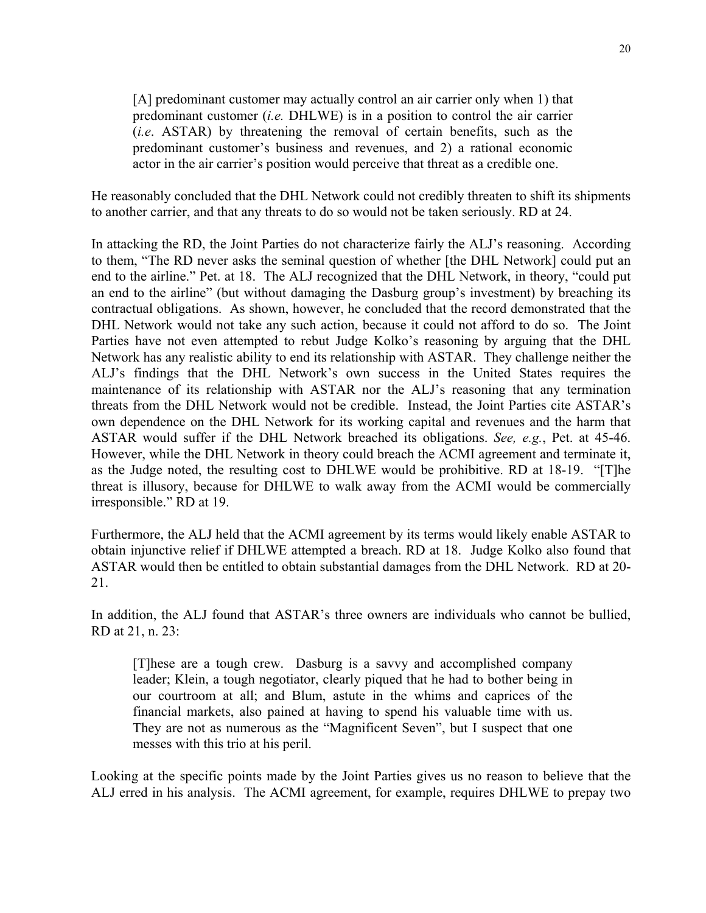[A] predominant customer may actually control an air carrier only when 1) that predominant customer (*i.e.* DHLWE) is in a position to control the air carrier (*i.e*. ASTAR) by threatening the removal of certain benefits, such as the predominant customer's business and revenues, and 2) a rational economic actor in the air carrier's position would perceive that threat as a credible one.

He reasonably concluded that the DHL Network could not credibly threaten to shift its shipments to another carrier, and that any threats to do so would not be taken seriously. RD at 24.

In attacking the RD, the Joint Parties do not characterize fairly the ALJ's reasoning. According to them, "The RD never asks the seminal question of whether [the DHL Network] could put an end to the airline." Pet. at 18. The ALJ recognized that the DHL Network, in theory, "could put an end to the airline" (but without damaging the Dasburg group's investment) by breaching its contractual obligations. As shown, however, he concluded that the record demonstrated that the DHL Network would not take any such action, because it could not afford to do so. The Joint Parties have not even attempted to rebut Judge Kolko's reasoning by arguing that the DHL Network has any realistic ability to end its relationship with ASTAR. They challenge neither the ALJ's findings that the DHL Network's own success in the United States requires the maintenance of its relationship with ASTAR nor the ALJ's reasoning that any termination threats from the DHL Network would not be credible. Instead, the Joint Parties cite ASTAR's own dependence on the DHL Network for its working capital and revenues and the harm that ASTAR would suffer if the DHL Network breached its obligations. *See, e.g.*, Pet. at 45-46. However, while the DHL Network in theory could breach the ACMI agreement and terminate it, as the Judge noted, the resulting cost to DHLWE would be prohibitive. RD at 18-19. "[T]he threat is illusory, because for DHLWE to walk away from the ACMI would be commercially irresponsible." RD at 19.

Furthermore, the ALJ held that the ACMI agreement by its terms would likely enable ASTAR to obtain injunctive relief if DHLWE attempted a breach. RD at 18. Judge Kolko also found that ASTAR would then be entitled to obtain substantial damages from the DHL Network. RD at 20- 21.

In addition, the ALJ found that ASTAR's three owners are individuals who cannot be bullied, RD at 21, n. 23:

[T]hese are a tough crew. Dasburg is a savvy and accomplished company leader; Klein, a tough negotiator, clearly piqued that he had to bother being in our courtroom at all; and Blum, astute in the whims and caprices of the financial markets, also pained at having to spend his valuable time with us. They are not as numerous as the "Magnificent Seven", but I suspect that one messes with this trio at his peril.

Looking at the specific points made by the Joint Parties gives us no reason to believe that the ALJ erred in his analysis. The ACMI agreement, for example, requires DHLWE to prepay two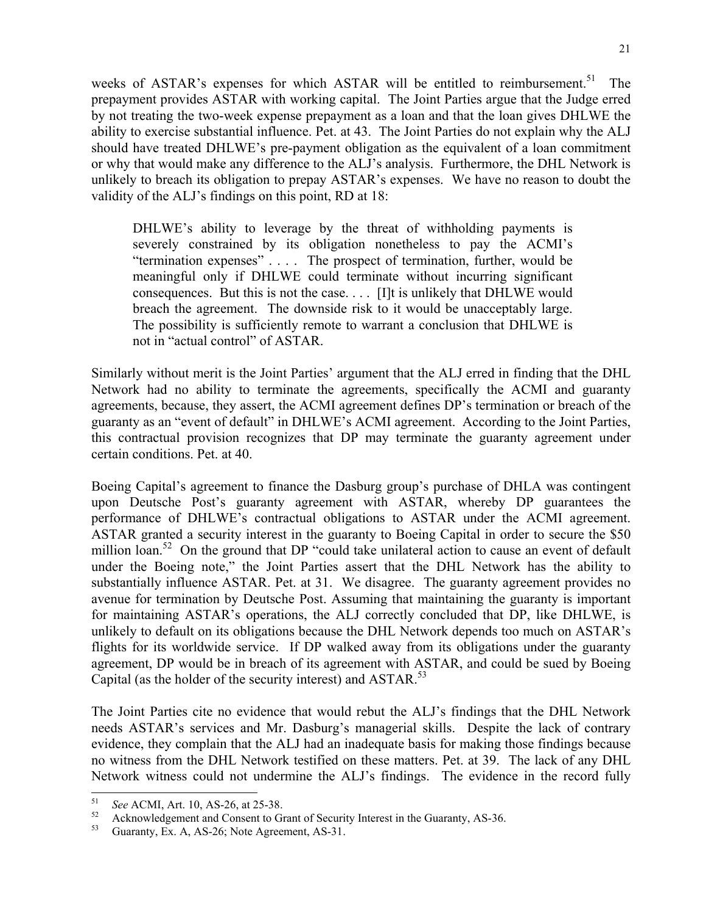weeks of ASTAR's expenses for which ASTAR will be entitled to reimbursement.<sup>51</sup> The prepayment provides ASTAR with working capital. The Joint Parties argue that the Judge erred by not treating the two-week expense prepayment as a loan and that the loan gives DHLWE the ability to exercise substantial influence. Pet. at 43. The Joint Parties do not explain why the ALJ should have treated DHLWE's pre-payment obligation as the equivalent of a loan commitment or why that would make any difference to the ALJ's analysis. Furthermore, the DHL Network is unlikely to breach its obligation to prepay ASTAR's expenses. We have no reason to doubt the validity of the ALJ's findings on this point, RD at 18:

DHLWE's ability to leverage by the threat of withholding payments is severely constrained by its obligation nonetheless to pay the ACMI's "termination expenses" . . . . The prospect of termination, further, would be meaningful only if DHLWE could terminate without incurring significant consequences. But this is not the case. . . . [I]t is unlikely that DHLWE would breach the agreement. The downside risk to it would be unacceptably large. The possibility is sufficiently remote to warrant a conclusion that DHLWE is not in "actual control" of ASTAR.

Similarly without merit is the Joint Parties' argument that the ALJ erred in finding that the DHL Network had no ability to terminate the agreements, specifically the ACMI and guaranty agreements, because, they assert, the ACMI agreement defines DP's termination or breach of the guaranty as an "event of default" in DHLWE's ACMI agreement. According to the Joint Parties, this contractual provision recognizes that DP may terminate the guaranty agreement under certain conditions. Pet. at 40.

Boeing Capital's agreement to finance the Dasburg group's purchase of DHLA was contingent upon Deutsche Post's guaranty agreement with ASTAR, whereby DP guarantees the performance of DHLWE's contractual obligations to ASTAR under the ACMI agreement. ASTAR granted a security interest in the guaranty to Boeing Capital in order to secure the \$50 million loan.<sup>52</sup> On the ground that DP "could take unilateral action to cause an event of default under the Boeing note," the Joint Parties assert that the DHL Network has the ability to substantially influence ASTAR. Pet. at 31. We disagree. The guaranty agreement provides no avenue for termination by Deutsche Post. Assuming that maintaining the guaranty is important for maintaining ASTAR's operations, the ALJ correctly concluded that DP, like DHLWE, is unlikely to default on its obligations because the DHL Network depends too much on ASTAR's flights for its worldwide service. If DP walked away from its obligations under the guaranty agreement, DP would be in breach of its agreement with ASTAR, and could be sued by Boeing Capital (as the holder of the security interest) and ASTAR.<sup>53</sup>

The Joint Parties cite no evidence that would rebut the ALJ's findings that the DHL Network needs ASTAR's services and Mr. Dasburg's managerial skills. Despite the lack of contrary evidence, they complain that the ALJ had an inadequate basis for making those findings because no witness from the DHL Network testified on these matters. Pet. at 39. The lack of any DHL Network witness could not undermine the ALJ's findings. The evidence in the record fully

<sup>51</sup> 

<sup>&</sup>lt;sup>51</sup> See ACMI, Art. 10, AS-26, at 25-38.<br><sup>52</sup> Acknowledgement and Consent to Grant of Security Interest in the Guaranty, AS-36.<br><sup>53</sup> Guaranty, Ex. A. AS-26; Note Agreement, AS-21.

<sup>53</sup> Guaranty, Ex. A, AS-26; Note Agreement, AS-31.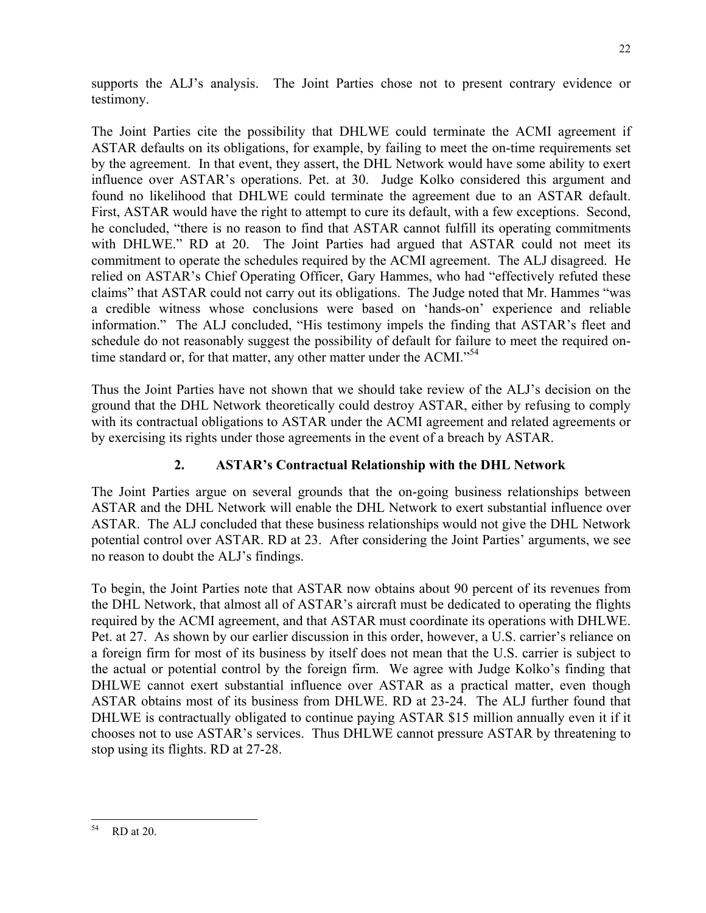supports the ALJ's analysis. The Joint Parties chose not to present contrary evidence or testimony.

The Joint Parties cite the possibility that DHLWE could terminate the ACMI agreement if ASTAR defaults on its obligations, for example, by failing to meet the on-time requirements set by the agreement. In that event, they assert, the DHL Network would have some ability to exert influence over ASTAR's operations. Pet. at 30. Judge Kolko considered this argument and found no likelihood that DHLWE could terminate the agreement due to an ASTAR default. First, ASTAR would have the right to attempt to cure its default, with a few exceptions. Second, he concluded, "there is no reason to find that ASTAR cannot fulfill its operating commitments with DHLWE." RD at 20. The Joint Parties had argued that ASTAR could not meet its commitment to operate the schedules required by the ACMI agreement. The ALJ disagreed. He relied on ASTAR's Chief Operating Officer, Gary Hammes, who had "effectively refuted these claims" that ASTAR could not carry out its obligations. The Judge noted that Mr. Hammes "was a credible witness whose conclusions were based on 'hands-on' experience and reliable information." The ALJ concluded, "His testimony impels the finding that ASTAR's fleet and schedule do not reasonably suggest the possibility of default for failure to meet the required ontime standard or, for that matter, any other matter under the ACMI."<sup>54</sup>

Thus the Joint Parties have not shown that we should take review of the ALJ's decision on the ground that the DHL Network theoretically could destroy ASTAR, either by refusing to comply with its contractual obligations to ASTAR under the ACMI agreement and related agreements or by exercising its rights under those agreements in the event of a breach by ASTAR.

# **2. ASTAR's Contractual Relationship with the DHL Network**

The Joint Parties argue on several grounds that the on-going business relationships between ASTAR and the DHL Network will enable the DHL Network to exert substantial influence over ASTAR. The ALJ concluded that these business relationships would not give the DHL Network potential control over ASTAR. RD at 23. After considering the Joint Parties' arguments, we see no reason to doubt the ALJ's findings.

To begin, the Joint Parties note that ASTAR now obtains about 90 percent of its revenues from the DHL Network, that almost all of ASTAR's aircraft must be dedicated to operating the flights required by the ACMI agreement, and that ASTAR must coordinate its operations with DHLWE. Pet. at 27. As shown by our earlier discussion in this order, however, a U.S. carrier's reliance on a foreign firm for most of its business by itself does not mean that the U.S. carrier is subject to the actual or potential control by the foreign firm. We agree with Judge Kolko's finding that DHLWE cannot exert substantial influence over ASTAR as a practical matter, even though ASTAR obtains most of its business from DHLWE. RD at 23-24. The ALJ further found that DHLWE is contractually obligated to continue paying ASTAR \$15 million annually even it if it chooses not to use ASTAR's services. Thus DHLWE cannot pressure ASTAR by threatening to stop using its flights. RD at 27-28.

 $\overline{\phantom{a}}$ 54 RD at 20.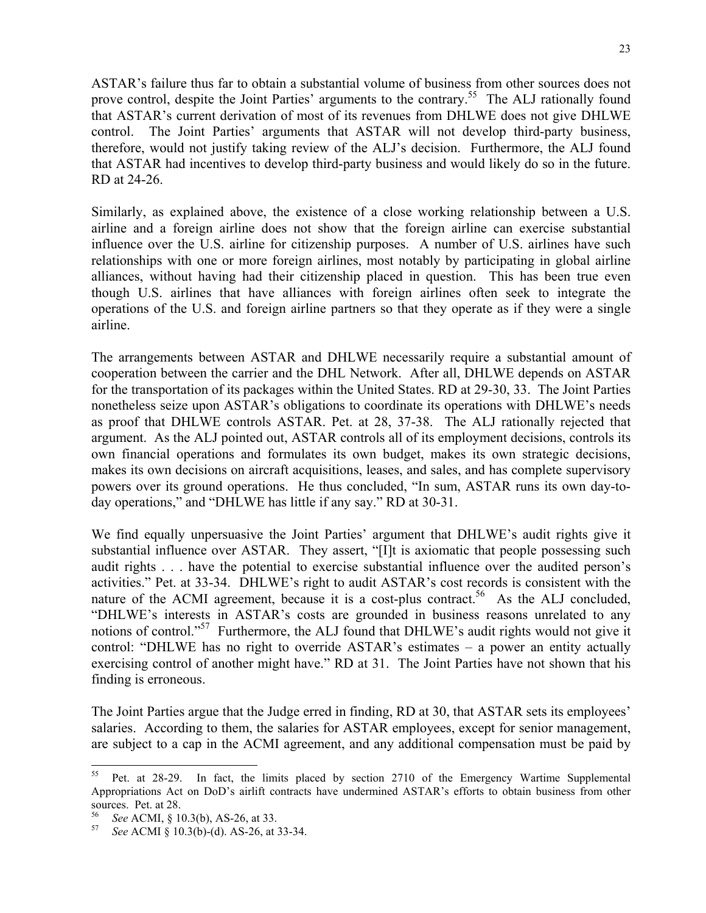ASTAR's failure thus far to obtain a substantial volume of business from other sources does not prove control, despite the Joint Parties' arguments to the contrary.<sup>55</sup> The ALJ rationally found that ASTAR's current derivation of most of its revenues from DHLWE does not give DHLWE control. The Joint Parties' arguments that ASTAR will not develop third-party business, therefore, would not justify taking review of the ALJ's decision. Furthermore, the ALJ found that ASTAR had incentives to develop third-party business and would likely do so in the future. RD at 24-26.

Similarly, as explained above, the existence of a close working relationship between a U.S. airline and a foreign airline does not show that the foreign airline can exercise substantial influence over the U.S. airline for citizenship purposes. A number of U.S. airlines have such relationships with one or more foreign airlines, most notably by participating in global airline alliances, without having had their citizenship placed in question. This has been true even though U.S. airlines that have alliances with foreign airlines often seek to integrate the operations of the U.S. and foreign airline partners so that they operate as if they were a single airline.

The arrangements between ASTAR and DHLWE necessarily require a substantial amount of cooperation between the carrier and the DHL Network. After all, DHLWE depends on ASTAR for the transportation of its packages within the United States. RD at 29-30, 33. The Joint Parties nonetheless seize upon ASTAR's obligations to coordinate its operations with DHLWE's needs as proof that DHLWE controls ASTAR. Pet. at 28, 37-38. The ALJ rationally rejected that argument. As the ALJ pointed out, ASTAR controls all of its employment decisions, controls its own financial operations and formulates its own budget, makes its own strategic decisions, makes its own decisions on aircraft acquisitions, leases, and sales, and has complete supervisory powers over its ground operations. He thus concluded, "In sum, ASTAR runs its own day-today operations," and "DHLWE has little if any say." RD at 30-31.

We find equally unpersuasive the Joint Parties' argument that DHLWE's audit rights give it substantial influence over ASTAR. They assert, "[I]t is axiomatic that people possessing such audit rights . . . have the potential to exercise substantial influence over the audited person's activities." Pet. at 33-34. DHLWE's right to audit ASTAR's cost records is consistent with the nature of the ACMI agreement, because it is a cost-plus contract.<sup>56</sup> As the ALJ concluded, "DHLWE's interests in ASTAR's costs are grounded in business reasons unrelated to any notions of control."<sup>57</sup> Furthermore, the ALJ found that DHLWE's audit rights would not give it control: "DHLWE has no right to override ASTAR's estimates – a power an entity actually exercising control of another might have." RD at 31. The Joint Parties have not shown that his finding is erroneous.

The Joint Parties argue that the Judge erred in finding, RD at 30, that ASTAR sets its employees' salaries. According to them, the salaries for ASTAR employees, except for senior management, are subject to a cap in the ACMI agreement, and any additional compensation must be paid by

 $\overline{\phantom{a}}$ 

<sup>&</sup>lt;sup>55</sup> Pet. at 28-29. In fact, the limits placed by section 2710 of the Emergency Wartime Supplemental Appropriations Act on DoD's airlift contracts have undermined ASTAR's efforts to obtain business from other sources. Pet. at 28.

<sup>56</sup>*See* ACMI, § 10.3(b), AS-26, at 33. 57 *See* ACMI § 10.3(b)-(d). AS-26, at 33-34.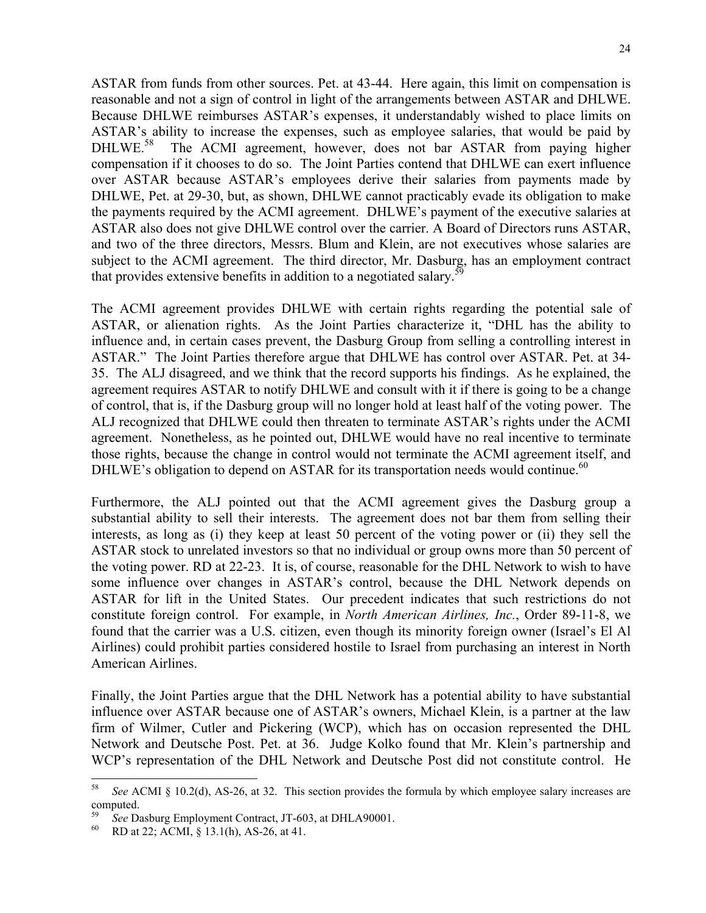ASTAR from funds from other sources. Pet. at 43-44. Here again, this limit on compensation is reasonable and not a sign of control in light of the arrangements between ASTAR and DHLWE. Because DHLWE reimburses ASTAR's expenses, it understandably wished to place limits on ASTAR's ability to increase the expenses, such as employee salaries, that would be paid by DHLWE.<sup>58</sup> The ACMI agreement, however, does not bar ASTAR from paying higher compensation if it chooses to do so. The Joint Parties contend that DHLWE can exert influence over ASTAR because ASTAR's employees derive their salaries from payments made by DHLWE, Pet. at 29-30, but, as shown, DHLWE cannot practicably evade its obligation to make the payments required by the ACMI agreement. DHLWE's payment of the executive salaries at ASTAR also does not give DHLWE control over the carrier. A Board of Directors runs ASTAR, and two of the three directors, Messrs. Blum and Klein, are not executives whose salaries are subject to the ACMI agreement. The third director, Mr. Dasburg, has an employment contract that provides extensive benefits in addition to a negotiated salary.<sup>59</sup>

The ACMI agreement provides DHLWE with certain rights regarding the potential sale of ASTAR, or alienation rights. As the Joint Parties characterize it, "DHL has the ability to influence and, in certain cases prevent, the Dasburg Group from selling a controlling interest in ASTAR." The Joint Parties therefore argue that DHLWE has control over ASTAR. Pet. at 34- 35. The ALJ disagreed, and we think that the record supports his findings. As he explained, the agreement requires ASTAR to notify DHLWE and consult with it if there is going to be a change of control, that is, if the Dasburg group will no longer hold at least half of the voting power. The ALJ recognized that DHLWE could then threaten to terminate ASTAR's rights under the ACMI agreement. Nonetheless, as he pointed out, DHLWE would have no real incentive to terminate those rights, because the change in control would not terminate the ACMI agreement itself, and DHLWE's obligation to depend on ASTAR for its transportation needs would continue.<sup>60</sup>

Furthermore, the ALJ pointed out that the ACMI agreement gives the Dasburg group a substantial ability to sell their interests. The agreement does not bar them from selling their interests, as long as (i) they keep at least 50 percent of the voting power or (ii) they sell the ASTAR stock to unrelated investors so that no individual or group owns more than 50 percent of the voting power. RD at 22-23. It is, of course, reasonable for the DHL Network to wish to have some influence over changes in ASTAR's control, because the DHL Network depends on ASTAR for lift in the United States. Our precedent indicates that such restrictions do not constitute foreign control. For example, in *North American Airlines, Inc.*, Order 89-11-8, we found that the carrier was a U.S. citizen, even though its minority foreign owner (Israel's El Al Airlines) could prohibit parties considered hostile to Israel from purchasing an interest in North American Airlines.

Finally, the Joint Parties argue that the DHL Network has a potential ability to have substantial influence over ASTAR because one of ASTAR's owners, Michael Klein, is a partner at the law firm of Wilmer, Cutler and Pickering (WCP), which has on occasion represented the DHL Network and Deutsche Post. Pet. at 36. Judge Kolko found that Mr. Klein's partnership and WCP's representation of the DHL Network and Deutsche Post did not constitute control. He

<sup>58</sup> 58 *See* ACMI § 10.2(d), AS-26, at 32. This section provides the formula by which employee salary increases are computed.

<sup>59</sup>*See* Dasburg Employment Contract, JT-603, at DHLA90001. 60 RD at 22; ACMI, § 13.1(h), AS-26, at 41.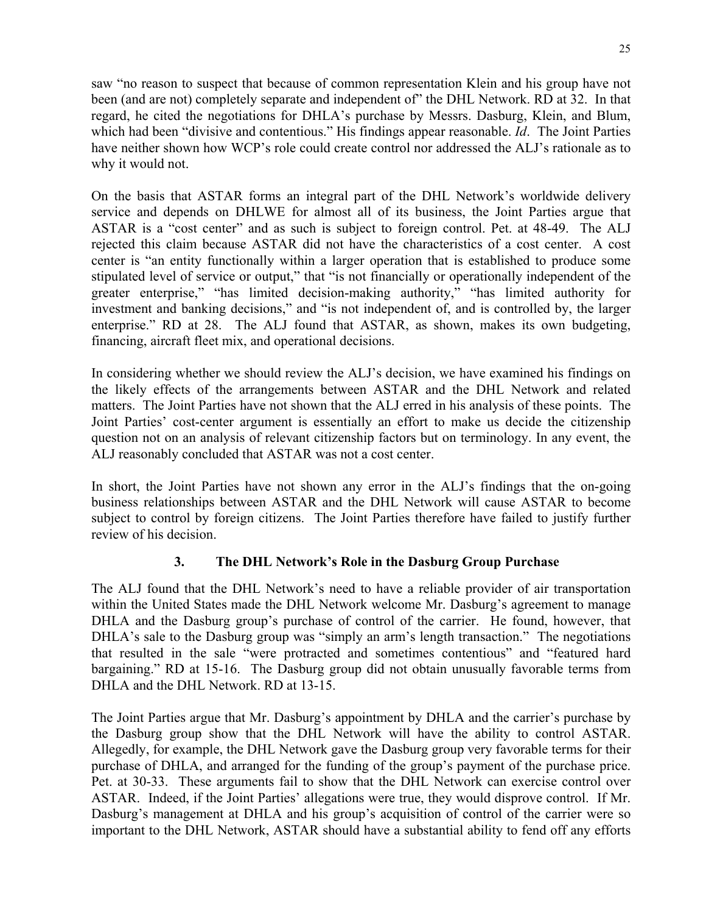saw "no reason to suspect that because of common representation Klein and his group have not been (and are not) completely separate and independent of" the DHL Network. RD at 32. In that regard, he cited the negotiations for DHLA's purchase by Messrs. Dasburg, Klein, and Blum, which had been "divisive and contentious." His findings appear reasonable. *Id*. The Joint Parties have neither shown how WCP's role could create control nor addressed the ALJ's rationale as to why it would not.

On the basis that ASTAR forms an integral part of the DHL Network's worldwide delivery service and depends on DHLWE for almost all of its business, the Joint Parties argue that ASTAR is a "cost center" and as such is subject to foreign control. Pet. at 48-49. The ALJ rejected this claim because ASTAR did not have the characteristics of a cost center. A cost center is "an entity functionally within a larger operation that is established to produce some stipulated level of service or output," that "is not financially or operationally independent of the greater enterprise," "has limited decision-making authority," "has limited authority for investment and banking decisions," and "is not independent of, and is controlled by, the larger enterprise." RD at 28. The ALJ found that ASTAR, as shown, makes its own budgeting, financing, aircraft fleet mix, and operational decisions.

In considering whether we should review the ALJ's decision, we have examined his findings on the likely effects of the arrangements between ASTAR and the DHL Network and related matters. The Joint Parties have not shown that the ALJ erred in his analysis of these points. The Joint Parties' cost-center argument is essentially an effort to make us decide the citizenship question not on an analysis of relevant citizenship factors but on terminology. In any event, the ALJ reasonably concluded that ASTAR was not a cost center.

In short, the Joint Parties have not shown any error in the ALJ's findings that the on-going business relationships between ASTAR and the DHL Network will cause ASTAR to become subject to control by foreign citizens. The Joint Parties therefore have failed to justify further review of his decision.

## **3. The DHL Network's Role in the Dasburg Group Purchase**

The ALJ found that the DHL Network's need to have a reliable provider of air transportation within the United States made the DHL Network welcome Mr. Dasburg's agreement to manage DHLA and the Dasburg group's purchase of control of the carrier. He found, however, that DHLA's sale to the Dasburg group was "simply an arm's length transaction." The negotiations that resulted in the sale "were protracted and sometimes contentious" and "featured hard bargaining." RD at 15-16. The Dasburg group did not obtain unusually favorable terms from DHLA and the DHL Network. RD at 13-15.

The Joint Parties argue that Mr. Dasburg's appointment by DHLA and the carrier's purchase by the Dasburg group show that the DHL Network will have the ability to control ASTAR. Allegedly, for example, the DHL Network gave the Dasburg group very favorable terms for their purchase of DHLA, and arranged for the funding of the group's payment of the purchase price. Pet. at 30-33. These arguments fail to show that the DHL Network can exercise control over ASTAR. Indeed, if the Joint Parties' allegations were true, they would disprove control. If Mr. Dasburg's management at DHLA and his group's acquisition of control of the carrier were so important to the DHL Network, ASTAR should have a substantial ability to fend off any efforts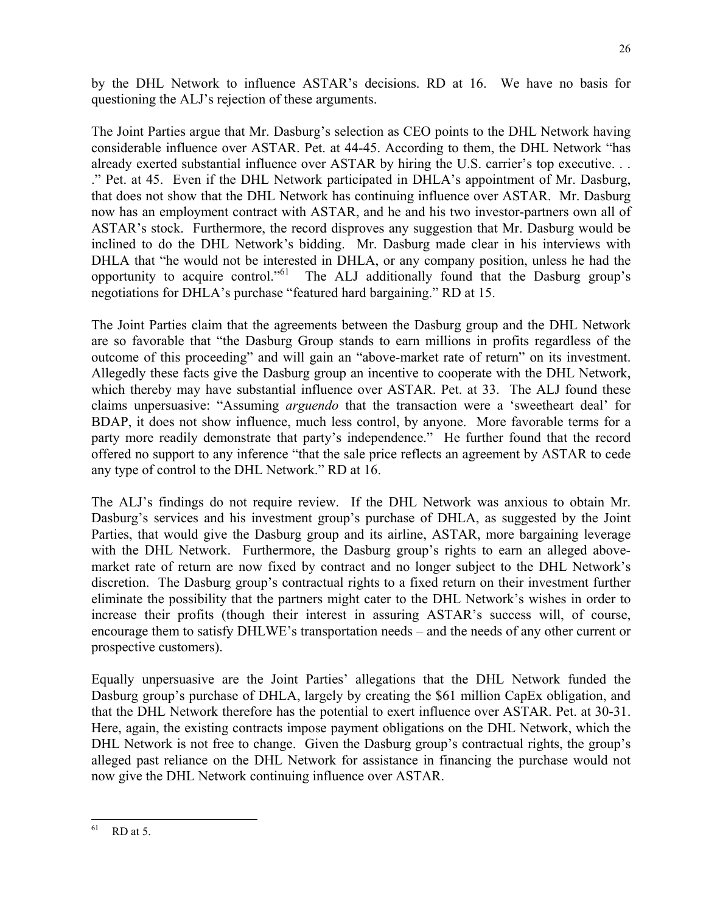by the DHL Network to influence ASTAR's decisions. RD at 16. We have no basis for questioning the ALJ's rejection of these arguments.

The Joint Parties argue that Mr. Dasburg's selection as CEO points to the DHL Network having considerable influence over ASTAR. Pet. at 44-45. According to them, the DHL Network "has already exerted substantial influence over ASTAR by hiring the U.S. carrier's top executive. . . ." Pet. at 45. Even if the DHL Network participated in DHLA's appointment of Mr. Dasburg, that does not show that the DHL Network has continuing influence over ASTAR. Mr. Dasburg now has an employment contract with ASTAR, and he and his two investor-partners own all of ASTAR's stock. Furthermore, the record disproves any suggestion that Mr. Dasburg would be inclined to do the DHL Network's bidding. Mr. Dasburg made clear in his interviews with DHLA that "he would not be interested in DHLA, or any company position, unless he had the opportunity to acquire control."61 The ALJ additionally found that the Dasburg group's negotiations for DHLA's purchase "featured hard bargaining." RD at 15.

The Joint Parties claim that the agreements between the Dasburg group and the DHL Network are so favorable that "the Dasburg Group stands to earn millions in profits regardless of the outcome of this proceeding" and will gain an "above-market rate of return" on its investment. Allegedly these facts give the Dasburg group an incentive to cooperate with the DHL Network, which thereby may have substantial influence over ASTAR. Pet. at 33. The ALJ found these claims unpersuasive: "Assuming *arguendo* that the transaction were a 'sweetheart deal' for BDAP, it does not show influence, much less control, by anyone. More favorable terms for a party more readily demonstrate that party's independence." He further found that the record offered no support to any inference "that the sale price reflects an agreement by ASTAR to cede any type of control to the DHL Network." RD at 16.

The ALJ's findings do not require review. If the DHL Network was anxious to obtain Mr. Dasburg's services and his investment group's purchase of DHLA, as suggested by the Joint Parties, that would give the Dasburg group and its airline, ASTAR, more bargaining leverage with the DHL Network. Furthermore, the Dasburg group's rights to earn an alleged abovemarket rate of return are now fixed by contract and no longer subject to the DHL Network's discretion. The Dasburg group's contractual rights to a fixed return on their investment further eliminate the possibility that the partners might cater to the DHL Network's wishes in order to increase their profits (though their interest in assuring ASTAR's success will, of course, encourage them to satisfy DHLWE's transportation needs – and the needs of any other current or prospective customers).

Equally unpersuasive are the Joint Parties' allegations that the DHL Network funded the Dasburg group's purchase of DHLA, largely by creating the \$61 million CapEx obligation, and that the DHL Network therefore has the potential to exert influence over ASTAR. Pet. at 30-31. Here, again, the existing contracts impose payment obligations on the DHL Network, which the DHL Network is not free to change. Given the Dasburg group's contractual rights, the group's alleged past reliance on the DHL Network for assistance in financing the purchase would not now give the DHL Network continuing influence over ASTAR.

<sup>61</sup> RD at 5.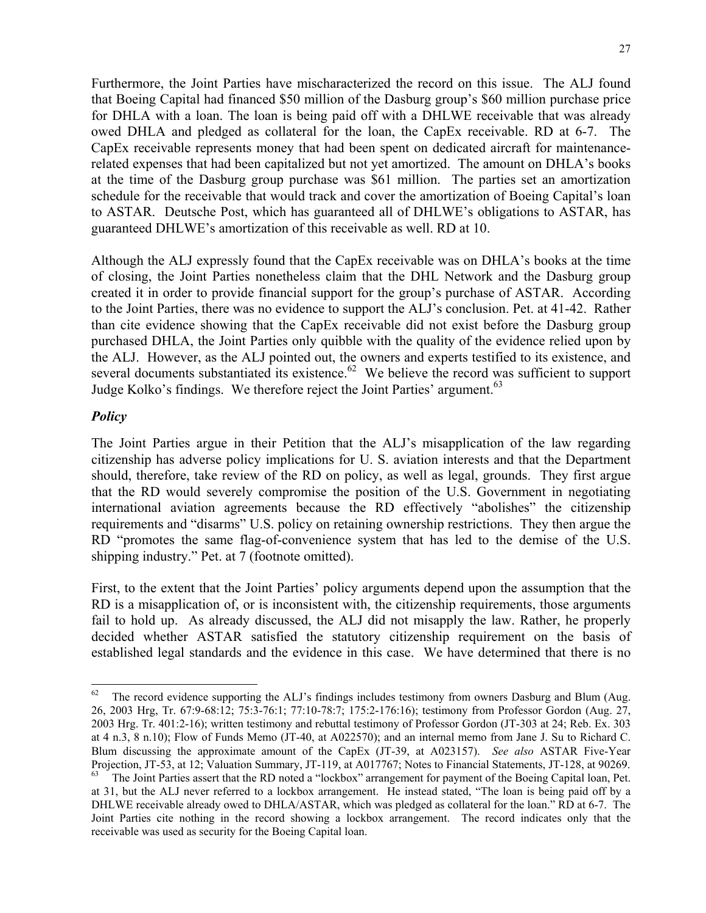Furthermore, the Joint Parties have mischaracterized the record on this issue. The ALJ found that Boeing Capital had financed \$50 million of the Dasburg group's \$60 million purchase price for DHLA with a loan. The loan is being paid off with a DHLWE receivable that was already owed DHLA and pledged as collateral for the loan, the CapEx receivable. RD at 6-7. The CapEx receivable represents money that had been spent on dedicated aircraft for maintenancerelated expenses that had been capitalized but not yet amortized. The amount on DHLA's books at the time of the Dasburg group purchase was \$61 million. The parties set an amortization schedule for the receivable that would track and cover the amortization of Boeing Capital's loan to ASTAR. Deutsche Post, which has guaranteed all of DHLWE's obligations to ASTAR, has guaranteed DHLWE's amortization of this receivable as well. RD at 10.

Although the ALJ expressly found that the CapEx receivable was on DHLA's books at the time of closing, the Joint Parties nonetheless claim that the DHL Network and the Dasburg group created it in order to provide financial support for the group's purchase of ASTAR. According to the Joint Parties, there was no evidence to support the ALJ's conclusion. Pet. at 41-42. Rather than cite evidence showing that the CapEx receivable did not exist before the Dasburg group purchased DHLA, the Joint Parties only quibble with the quality of the evidence relied upon by the ALJ. However, as the ALJ pointed out, the owners and experts testified to its existence, and several documents substantiated its existence.<sup>62</sup> We believe the record was sufficient to support Judge Kolko's findings. We therefore reject the Joint Parties' argument.<sup>63</sup>

## *Policy*

 $\overline{\phantom{a}}$ 

The Joint Parties argue in their Petition that the ALJ's misapplication of the law regarding citizenship has adverse policy implications for U. S. aviation interests and that the Department should, therefore, take review of the RD on policy, as well as legal, grounds. They first argue that the RD would severely compromise the position of the U.S. Government in negotiating international aviation agreements because the RD effectively "abolishes" the citizenship requirements and "disarms" U.S. policy on retaining ownership restrictions. They then argue the RD "promotes the same flag-of-convenience system that has led to the demise of the U.S. shipping industry." Pet. at 7 (footnote omitted).

First, to the extent that the Joint Parties' policy arguments depend upon the assumption that the RD is a misapplication of, or is inconsistent with, the citizenship requirements, those arguments fail to hold up. As already discussed, the ALJ did not misapply the law. Rather, he properly decided whether ASTAR satisfied the statutory citizenship requirement on the basis of established legal standards and the evidence in this case. We have determined that there is no

<sup>&</sup>lt;sup>62</sup> The record evidence supporting the ALJ's findings includes testimony from owners Dasburg and Blum (Aug. 26, 2003 Hrg, Tr. 67:9-68:12; 75:3-76:1; 77:10-78:7; 175:2-176:16); testimony from Professor Gordon (Aug. 27, 2003 Hrg. Tr. 401:2-16); written testimony and rebuttal testimony of Professor Gordon (JT-303 at 24; Reb. Ex. 303 at 4 n.3, 8 n.10); Flow of Funds Memo (JT-40, at A022570); and an internal memo from Jane J. Su to Richard C. Blum discussing the approximate amount of the CapEx (JT-39, at A023157). *See also* ASTAR Five-Year Projection, JT-53, at 12; Valuation Summary, JT-119, at A017767; Notes to Financial Statements, JT-128, at 90269. 63 The Joint Parties assert that the RD noted a "lockbox" arrangement for payment of the Boeing Capital loan, Pet. at 31, but the ALJ never referred to a lockbox arrangement. He instead stated, "The loan is being paid off by a DHLWE receivable already owed to DHLA/ASTAR, which was pledged as collateral for the loan." RD at 6-7. The Joint Parties cite nothing in the record showing a lockbox arrangement. The record indicates only that the receivable was used as security for the Boeing Capital loan.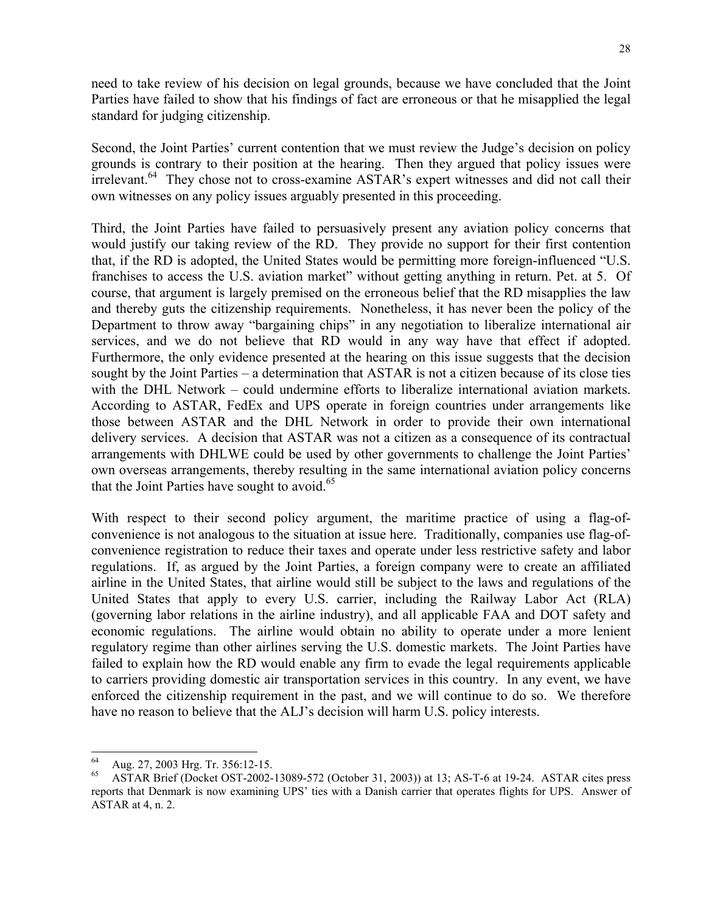need to take review of his decision on legal grounds, because we have concluded that the Joint Parties have failed to show that his findings of fact are erroneous or that he misapplied the legal standard for judging citizenship.

Second, the Joint Parties' current contention that we must review the Judge's decision on policy grounds is contrary to their position at the hearing. Then they argued that policy issues were irrelevant.<sup>64</sup> They chose not to cross-examine ASTAR's expert witnesses and did not call their own witnesses on any policy issues arguably presented in this proceeding.

Third, the Joint Parties have failed to persuasively present any aviation policy concerns that would justify our taking review of the RD. They provide no support for their first contention that, if the RD is adopted, the United States would be permitting more foreign-influenced "U.S. franchises to access the U.S. aviation market" without getting anything in return. Pet. at 5. Of course, that argument is largely premised on the erroneous belief that the RD misapplies the law and thereby guts the citizenship requirements. Nonetheless, it has never been the policy of the Department to throw away "bargaining chips" in any negotiation to liberalize international air services, and we do not believe that RD would in any way have that effect if adopted. Furthermore, the only evidence presented at the hearing on this issue suggests that the decision sought by the Joint Parties – a determination that ASTAR is not a citizen because of its close ties with the DHL Network – could undermine efforts to liberalize international aviation markets. According to ASTAR, FedEx and UPS operate in foreign countries under arrangements like those between ASTAR and the DHL Network in order to provide their own international delivery services. A decision that ASTAR was not a citizen as a consequence of its contractual arrangements with DHLWE could be used by other governments to challenge the Joint Parties' own overseas arrangements, thereby resulting in the same international aviation policy concerns that the Joint Parties have sought to avoid. $65$ 

With respect to their second policy argument, the maritime practice of using a flag-ofconvenience is not analogous to the situation at issue here. Traditionally, companies use flag-ofconvenience registration to reduce their taxes and operate under less restrictive safety and labor regulations. If, as argued by the Joint Parties, a foreign company were to create an affiliated airline in the United States, that airline would still be subject to the laws and regulations of the United States that apply to every U.S. carrier, including the Railway Labor Act (RLA) (governing labor relations in the airline industry), and all applicable FAA and DOT safety and economic regulations. The airline would obtain no ability to operate under a more lenient regulatory regime than other airlines serving the U.S. domestic markets. The Joint Parties have failed to explain how the RD would enable any firm to evade the legal requirements applicable to carriers providing domestic air transportation services in this country. In any event, we have enforced the citizenship requirement in the past, and we will continue to do so. We therefore have no reason to believe that the ALJ's decision will harm U.S. policy interests.

<sup>64</sup> 64 Aug. 27, 2003 Hrg. Tr. 356:12-15.

<sup>65</sup> ASTAR Brief (Docket OST-2002-13089-572 (October 31, 2003)) at 13; AS-T-6 at 19-24. ASTAR cites press reports that Denmark is now examining UPS' ties with a Danish carrier that operates flights for UPS. Answer of ASTAR at 4, n. 2.